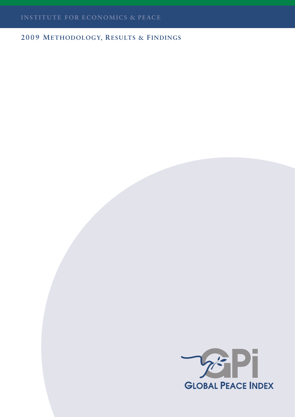# **INSTITUTE FOR ECONOMICS & PEACE**

# **2009 METHODOLOGY, RESULTS & FINDINGS**

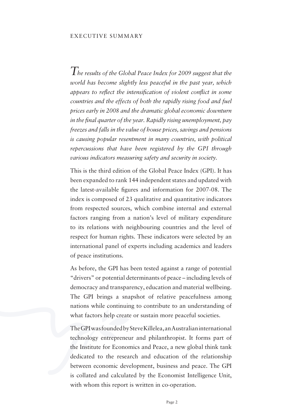## EXECUTIVE SUMMARY

*The results of the Global Peace Index for 2009 suggest that the world has become slightly less peaceful in the past year, which appears to reflect the intensification of violent conflict in some countries and the effects of both the rapidly rising food and fuel prices early in 2008 and the dramatic global economic downturn in the final quarter of the year. Rapidly rising unemployment, pay freezes and falls in the value of house prices, savings and pensions is causing popular resentment in many countries, with political repercussions that have been registered by the GPI through various indicators measuring safety and security in society.*

This is the third edition of the Global Peace Index (GPI). It has been expanded to rank 144 independent states and updated with the latest-available figures and information for 2007-08. The index is composed of 23 qualitative and quantitative indicators from respected sources, which combine internal and external factors ranging from a nation's level of military expenditure to its relations with neighbouring countries and the level of respect for human rights. These indicators were selected by an international panel of experts including academics and leaders of peace institutions.

As before, the GPI has been tested against a range of potential "drivers" or potential determinants of peace – including levels of democracy and transparency, education and material wellbeing. The GPI brings a snapshot of relative peacefulness among nations while continuing to contribute to an understanding of what factors help create or sustain more peaceful societies.

The GPI was founded by Steve Killelea, an Australian international technology entrepreneur and philanthropist. It forms part of the Institute for Economics and Peace, a new global think tank dedicated to the research and education of the relationship between economic development, business and peace. The GPI is collated and calculated by the Economist Intelligence Unit, with whom this report is written in co-operation.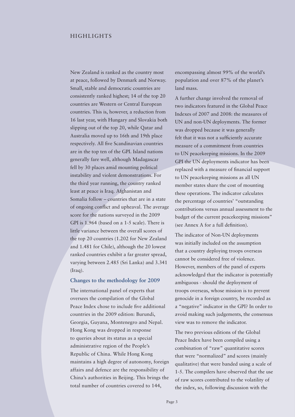## **HIGHLIGHTS**

New Zealand is ranked as the country most at peace, followed by Denmark and Norway. Small, stable and democratic countries are consistently ranked highest; 14 of the top 20 countries are Western or Central European countries. This is, however, a reduction from 16 last year, with Hungary and Slovakia both slipping out of the top 20, while Qatar and Australia moved up to 16th and 19th place respectively. All five Scandinavian countries are in the top ten of the GPI. Island nations generally fare well, although Madagascar fell by 30 places amid mounting political instability and violent demonstrations. For the third year running, the country ranked least at peace is Iraq. Afghanistan and Somalia follow – countries that are in a state of ongoing conflict and upheaval. The average score for the nations surveyed in the 2009 GPI is 1.964 (based on a 1-5 scale). There is little variance between the overall scores of the top 20 countries (1.202 for New Zealand and 1.481 for Chile), although the 20 lowest ranked countries exhibit a far greater spread, varying between 2.485 (Sri Lanka) and 3.341 (Iraq).

#### **Changes to the methodology for 2009**

The international panel of experts that oversees the compilation of the Global Peace Index chose to include five additional countries in the 2009 edition: Burundi, Georgia, Guyana, Montenegro and Nepal. Hong Kong was dropped in response to queries about its status as a special administrative region of the People's Republic of China. While Hong Kong maintains a high degree of autonomy, foreign affairs and defence are the responsibility of China's authorities in Beijing. This brings the total number of countries covered to 144,

encompassing almost 99% of the world's population and over 87% of the planet's land mass.

A further change involved the removal of two indicators featured in the Global Peace Indexes of 2007 and 2008: the measures of UN and non-UN deployments. The former was dropped because it was generally felt that it was not a sufficiently accurate measure of a commitment from countries to UN peacekeeping missions. In the 2009 GPI the UN deployments indicator has been replaced with a measure of financial support to UN peacekeeping missions as all UN member states share the cost of mounting these operations. The indicator calculates the percentage of countries' "outstanding contributions versus annual assessment to the budget of the current peacekeeping missions" (see Annex A for a full definition).

The indicator of Non-UN deployments was initially included on the assumption that a country deploying troops overseas cannot be considered free of violence. However, members of the panel of experts acknowledged that the indicator is potentially ambiguous - should the deployment of troops overseas, whose mission is to prevent genocide in a foreign country, be recorded as a "negative" indicator in the GPI? In order to avoid making such judgements, the consensus view was to remove the indicator.

The two previous editions of the Global Peace Index have been compiled using a combination of "raw" quantitative scores that were "normalized" and scores (mainly qualitative) that were banded using a scale of 1-5. The compilers have observed that the use of raw scores contributed to the volatility of the index, so, following discussion with the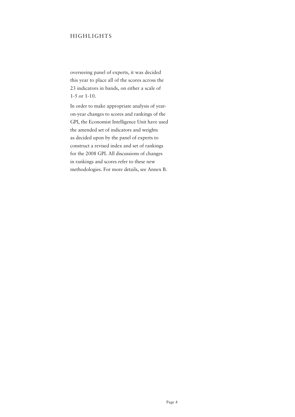# **HIGHLIGHTS**

overseeing panel of experts, it was decided this year to place all of the scores across the 23 indicators in bands, on either a scale of 1-5 or 1-10.

In order to make appropriate analysis of yearon-year changes to scores and rankings of the GPI, the Economist Intelligence Unit have used the amended set of indicators and weights as decided upon by the panel of experts to construct a revised index and set of rankings for the 2008 GPI. All discussions of changes in rankings and scores refer to these new methodologies. For more details, see Annex B.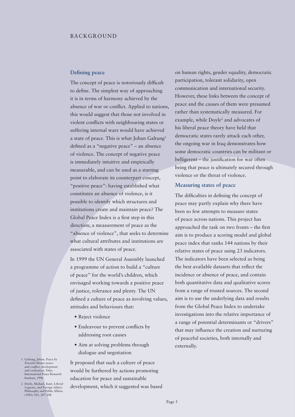#### **Defining peace**

The concept of peace is notoriously difficult to define. The simplest way of approaching it is in terms of harmony achieved by the absence of war or conflict. Applied to nations, this would suggest that those not involved in violent conflicts with neighbouring states or suffering internal wars would have achieved a state of peace. This is what Johan Galtung1 defined as a "negative peace" – an absence of violence. The concept of negative peace is immediately intuitive and empirically measurable, and can be used as a starting point to elaborate its counterpart concept, "positive peace": having established what constitutes an absence of violence, is it possible to identify which structures and institutions create and maintain peace? The Global Peace Index is a first step in this direction; a measurement of peace as the "absence of violence", that seeks to determine what cultural attributes and institutions are associated with states of peace.

In 1999 the UN General Assembly launched a programme of action to build a "culture of peace" for the world's children, which envisaged working towards a positive peace of justice, tolerance and plenty. The UN defined a culture of peace as involving values, attitudes and behaviours that:

- Reject violence
- Endeavour to prevent conflicts by addressing root causes
- Aim at solving problems through dialogue and negotiation

It proposed that such a culture of peace would be furthered by actions promoting education for peace and sustainable development, which it suggested was based on human rights, gender equality, democratic participation, tolerant solidarity, open communication and international security. However, these links between the concept of peace and the causes of them were presumed rather than systematically measured. For example, while Doyle<sup>2</sup> and advocates of his liberal peace theory have held that democratic states rarely attack each other, the ongoing war in Iraq demonstrates how some democratic countries can be militant or belligerent – the justification for war often being that peace is ultimately secured through violence or the threat of violence.

### **Measuring states of peace**

The difficulties in defining the concept of peace may partly explain why there have been so few attempts to measure states of peace across nations. This project has approached the task on two fronts – the first aim is to produce a scoring model and global peace index that ranks 144 nations by their relative states of peace using 23 indicators. The indicators have been selected as being the best available datasets that reflect the incidence or absence of peace, and contain both quantitative data and qualitative scores from a range of trusted sources. The second aim is to use the underlying data and results from the Global Peace Index to undertake investigations into the relative importance of a range of potential determinants or "drivers" that may influence the creation and nurturing of peaceful societies, both internally and externally.

- 1 Galtung, Johan. *Peace by Peaceful Means: peace and conflict, development and civilization*. Oslo:<br>International Peace Research Institute, 1996
- 2 Doyle, Michael. *Kant, Liberal Legacies, and Foreign Affairs.* Philosophy and Public Affairs (1983) 205, 207-208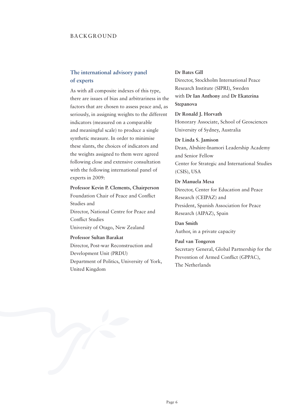## **BACKGROUND**

# **The international advisory panel of experts**

As with all composite indexes of this type, there are issues of bias and arbitrariness in the factors that are chosen to assess peace and, as seriously, in assigning weights to the different indicators (measured on a comparable and meaningful scale) to produce a single synthetic measure. In order to minimise these slants, the choices of indicators and the weights assigned to them were agreed following close and extensive consultation with the following international panel of experts in 2009:

**Professor Kevin P. Clements, Chairperson** Foundation Chair of Peace and Conflict Studies and

Director, National Centre for Peace and Conflict Studies University of Otago, New Zealand

**Professor Sultan Barakat** Director, Post-war Reconstruction and Development Unit (PRDU) Department of Politics, University of York, United Kingdom

#### **Dr Bates Gill**

Director, Stockholm International Peace Research Institute (SIPRI), Sweden with **Dr Ian Anthony** and **Dr Ekaterina Stepanova**

**Dr Ronald J. Horvath** Honorary Associate, School of Geosciences University of Sydney, Australia

### **Dr Linda S. Jamison**

Dean, Abshire-Inamori Leadership Academy and Senior Fellow Center for Strategic and International Studies (CSIS), USA

## **Dr Manuela Mesa**

Director, Center for Education and Peace Research (CEIPAZ) and President, Spanish Association for Peace Research (AIPAZ), Spain

**Dan Smith** Author, in a private capacity

**Paul van Tongeren** Secretary General, Global Partnership for the Prevention of Armed Conflict (GPPAC), The Netherlands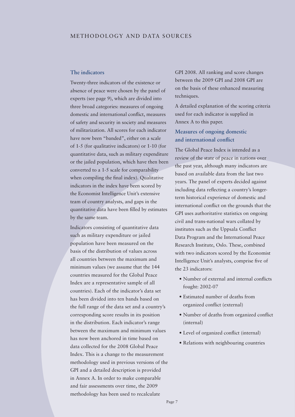## Methodology and data sources

### **The indicators**

Twenty-three indicators of the existence or absence of peace were chosen by the panel of experts (see page 9), which are divided into three broad categories: measures of ongoing domestic and international conflict, measures of safety and security in society and measures of militarization. All scores for each indicator have now been "banded", either on a scale of 1-5 (for qualitative indicators) or 1-10 (for quantitative data, such as military expenditure or the jailed population, which have then been converted to a 1-5 scale for comparability when compiling the final index). Qualitative indicators in the index have been scored by the Economist Intelligence Unit's extensive team of country analysts, and gaps in the quantitative data have been filled by estimates by the same team.

Indicators consisting of quantitative data such as military expenditure or jailed population have been measured on the basis of the distribution of values across all countries between the maximum and minimum values (we assume that the 144 countries measured for the Global Peace Index are a representative sample of all countries). Each of the indicator's data set has been divided into ten bands based on the full range of the data set and a country's corresponding score results in its position in the distribution. Each indicator's range between the maximum and minimum values has now been anchored in time based on data collected for the 2008 Global Peace Index. This is a change to the measurement methodology used in previous versions of the GPI and a detailed description is provided in Annex A. In order to make comparable and fair assessments over time, the 2009 methodology has been used to recalculate

GPI 2008. All ranking and score changes between the 2009 GPI and 2008 GPI are on the basis of these enhanced measuring techniques.

A detailed explanation of the scoring criteria used for each indicator is supplied in Annex A to this paper.

## **Measures of ongoing domestic and international conflict**

The Global Peace Index is intended as a review of the state of peace in nations over the past year, although many indicators are based on available data from the last two years. The panel of experts decided against including data reflecting a country's longerterm historical experience of domestic and international conflict on the grounds that the GPI uses authoritative statistics on ongoing civil and trans-national wars collated by institutes such as the Uppsala Conflict Data Program and the International Peace Research Institute, Oslo. These, combined with two indicators scored by the Economist Intelligence Unit's analysts, comprise five of the 23 indicators:

- Number of external and internal conflicts fought: 2002-07
- • Estimated number of deaths from organized conflict (external)
- • Number of deaths from organized conflict (internal)
- • Level of organized conflict (internal)
- Relations with neighbouring countries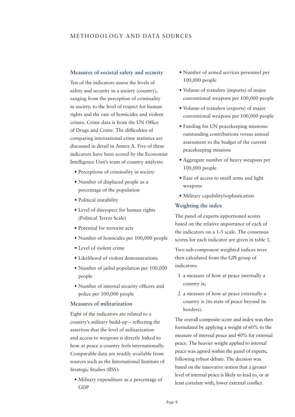### **Measures of societal safety and security**

Ten of the indicators assess the levels of safety and security in a society (country), ranging from the perception of criminality in society, to the level of respect for human rights and the rate of homicides and violent crimes. Crime data is from the UN Office of Drugs and Crime. The difficulties of comparing international crime statistics are discussed in detail in Annex A. Five of these indicators have been scored by the Economist Intelligence Unit's team of country analysts:

- Perceptions of criminality in society
- Number of displaced people as a percentage of the population
- Political instability
- Level of disrespect for human rights (Political Terror Scale)
- Potential for terrorist acts
- Number of homicides per 100,000 people
- • Level of violent crime
- • Likelihood of violent demonstrations
- • Number of jailed population per 100,000 people
- • Number of internal security officers and police per 100,000 people

### **Measures of militarization**

Eight of the indicators are related to a country's military build-up – reflecting the assertion that the level of militarization and access to weapons is directly linked to how at peace a country feels internationally. Comparable data are readily available from sources such as the International Institute of Strategic Studies (IISS):

• Military expenditure as a percentage of GDP

- • Number of armed services personnel per 100,000 people
- Volume of transfers (imports) of major conventional weapons per 100,000 people
- Volume of transfers (exports) of major conventional weapons per 100,000 people
- Funding for UN peacekeeping missions: outstanding contributions versus annual assessment to the budget of the current peacekeeping missions
- • Aggregate number of heavy weapons per 100,000 people
- • Ease of access to small arms and light weapons
- • Military capability/sophistication

#### **Weighting the index**

The panel of experts apportioned scores based on the relative importance of each of the indicators on a 1-5 scale. The consensus scores for each indicator are given in table 1.

Two sub-component weighted indices were then calculated from the GPI group of indicators:

- 1 a measure of how at peace internally a country is;
- 2 a measure of how at peace externally a country is (its state of peace beyond its borders).

The overall composite score and index was then formulated by applying a weight of 60% to the measure of internal peace and 40% for external peace. The heavier weight applied to internal peace was agreed within the panel of experts, following robust debate. The decision was based on the innovative notion that a greater level of internal peace is likely to lead to, or at least correlate with, lower external conflict.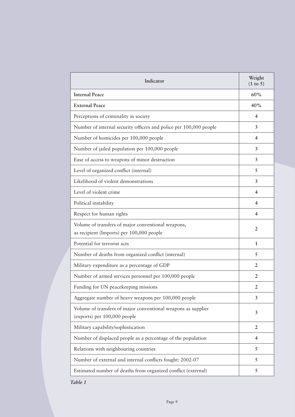| Indicator                                                                                       | Weight<br>(1 to 5) |
|-------------------------------------------------------------------------------------------------|--------------------|
| <b>Internal Peace</b>                                                                           | 60%                |
| <b>External Peace</b>                                                                           | 40%                |
| Perceptions of criminality in society                                                           | 4                  |
| Number of internal security officers and police per 100,000 people                              | 3                  |
| Number of homicides per 100,000 people                                                          | 4                  |
| Number of jailed population per 100,000 people                                                  | 3                  |
| Ease of access to weapons of minor destruction                                                  | 3                  |
| Level of organized conflict (internal)                                                          | 5                  |
| Likelihood of violent demonstrations                                                            | 3                  |
| Level of violent crime                                                                          | 4                  |
| Political instability                                                                           | $\overline{4}$     |
| Respect for human rights                                                                        | 4                  |
| Volume of transfers of major conventional weapons,<br>as recipient (Imports) per 100,000 people | 2                  |
| Potential for terrorist acts                                                                    | 1                  |
| Number of deaths from organized conflict (internal)                                             | 5                  |
| Military expenditure as a percentage of GDP                                                     | $\overline{2}$     |
| Number of armed services personnel per 100,000 people                                           | 2                  |
| Funding for UN peacekeeping missions                                                            | $\overline{2}$     |
| Aggregate number of heavy weapons per 100,000 people                                            | 3                  |
| Volume of transfers of major conventional weapons as supplier<br>(exports) per 100,000 people   | $\overline{3}$     |
| Military capability/sophistication                                                              | $\overline{2}$     |
| Number of displaced people as a percentage of the population                                    | $\overline{4}$     |
| Relations with neighbouring countries                                                           | 5                  |
| Number of external and internal conflicts fought: 2002-07                                       | 5                  |
| Estimated number of deaths from organized conflict (external)                                   | 5                  |

*Table 1*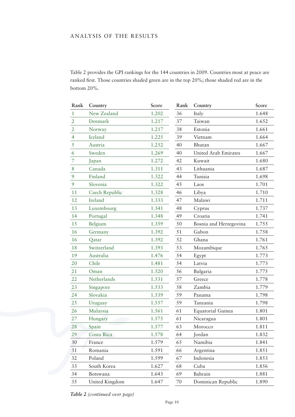# Analysis of the Results

Table 2 provides the GPI rankings for the 144 countries in 2009. Countries most at peace are ranked first. Those countries shaded green are in the top 20%; those shaded red are in the bottom 20%.

| Rank           | Country               | Score | Rank | Country                  | Score |
|----------------|-----------------------|-------|------|--------------------------|-------|
| $\mathbf{1}$   | New Zealand           | 1.202 | 36   | Italy                    | 1.648 |
| $\overline{2}$ | Denmark               | 1.217 | 37   | Taiwan                   | 1.652 |
| $\overline{2}$ | Norway                | 1.217 | 38   | Estonia                  | 1.661 |
| $\overline{4}$ | Iceland               | 1.225 | 39   | Vietnam                  | 1.664 |
| 5              | Austria               | 1.252 | 40   | Bhutan                   | 1.667 |
| 6              | Sweden                | 1.269 | 40   | United Arab Emirates     | 1.667 |
| $\overline{7}$ | Japan                 | 1.272 | 42   | Kuwait                   | 1.680 |
| 8              | Canada                | 1.311 | 43   | Lithuania                | 1.687 |
| 9              | Finland               | 1.322 | 44   | Tunisia                  | 1.698 |
| 9              | Slovenia              | 1.322 | 45   | Laos                     | 1.701 |
| 11             | <b>Czech Republic</b> | 1.328 | 46   | Libya                    | 1.710 |
| 12             | Ireland               | 1.333 | 47   | Malawi                   | 1.711 |
| 13             | Luxembourg            | 1.341 | 48   | Cyprus                   | 1.737 |
| 14             | Portugal              | 1.348 | 49   | Croatia                  | 1.741 |
| 15             | Belgium               | 1.359 | 50   | Bosnia and Herzegovina   | 1.755 |
| 16             | Germany               | 1.392 | 51   | Gabon                    | 1.758 |
| 16             | Qatar                 | 1.392 | 52   | Ghana                    | 1.761 |
| 18             | Switzerland           | 1.393 | 53   | Mozambique               | 1.765 |
| 19             | Australia             | 1.476 | 54   | Egypt                    | 1.773 |
| 20             | Chile                 | 1.481 | 54   | Latvia                   | 1.773 |
| 21             | Oman                  | 1.520 | 56   | Bulgaria                 | 1.775 |
| 22             | Netherlands           | 1.531 | 57   | Greece                   | 1.778 |
| 23             | Singapore             | 1.533 | 58   | Zambia                   | 1.779 |
| 24             | Slovakia              | 1.539 | 59   | Panama                   | 1.798 |
| 25             | Uruguay               | 1.557 | 59   | Tanzania                 | 1.798 |
| 26             | Malaysia              | 1.561 | 61   | <b>Equatorial Guinea</b> | 1.801 |
| 27             | Hungary               | 1.575 | 61   | Nicaragua                | 1.801 |
| 28             | Spain                 | 1.577 | 63   | Morocco                  | 1.811 |
| 29             | Costa Rica            | 1.578 | 64   | Jordan                   | 1.832 |
| 30             | France                | 1.579 | 65   | Namibia                  | 1.841 |
| 31             | Romania               | 1.591 | 66   | Argentina                | 1.851 |
| 32             | Poland                | 1.599 | 67   | Indonesia                | 1.853 |
| 33             | South Korea           | 1.627 | 68   | Cuba                     | 1.856 |
| 34             | Botswana              | 1.643 | 69   | Bahrain                  | 1.881 |
| 35             | United Kingdom        | 1.647 | 70   | Dominican Republic       | 1.890 |

*Table 2 (continued over page)*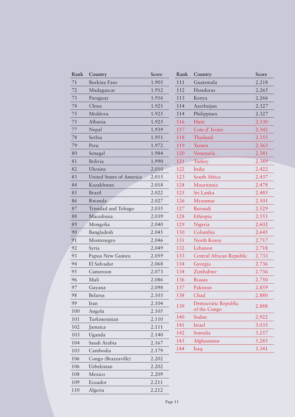| Rank    | Country                  | Score | Rank | Country                  | Score |
|---------|--------------------------|-------|------|--------------------------|-------|
| 71      | Burkina Faso             | 1.905 | 111  | Guatemala                | 2.218 |
| 72      | Madagascar               | 1.912 | 112  | Honduras                 | 2.265 |
| 73      | Paraguay                 | 1.916 | 113  | Kenya                    | 2.266 |
| 74      | China                    | 1.921 | 114  | Azerbaijan               | 2.327 |
| 75      | Moldova                  | 1.925 | 114  | Philippines              | 2.327 |
| 75      | Albania                  | 1.925 | 116  | Haiti                    | 2.330 |
| 77      | Nepal                    | 1.939 | 117  | Cote d'Ivoire            | 2.342 |
| 78      | Serbia                   | 1.951 | 118  | Thailand                 | 2.353 |
| 79      | Peru                     | 1.972 | 119  | Yemen                    | 2.363 |
| 80      | Senegal                  | 1.984 | 120  | Venezuela                | 2.381 |
| 81      | Bolivia                  | 1.990 | 121  | Turkey                   | 2.389 |
| 82      | Ukraine                  | 2.010 | 122  | India                    | 2.422 |
| 83      | United States of America | 2.015 | 123  | South Africa             | 2.437 |
| 84      | Kazakhstan               | 2.018 | 124  | Mauritania               | 2.478 |
| 85      | <b>Brazil</b>            | 2.022 | 125  | Sri Lanka                | 2.485 |
| 86      | Rwanda                   | 2.027 | 126  | Myanmar                  | 2.501 |
| 87      | Trinidad and Tobago      | 2.035 | 127  | Burundi                  | 2.529 |
| 88      | Macedonia                | 2.039 | 128  | Ethiopia                 | 2.551 |
| 89      | Mongolia                 | 2.040 | 129  | Nigeria                  | 2.602 |
| 90      | Bangladesh               | 2.045 | 130  | Colombia                 | 2.645 |
| 91      | Montenegro               | 2.046 | 131  | North Korea              | 2.717 |
| 92      | Syria                    | 2.049 | 132  | Lebanon                  | 2.718 |
| 93      | Papua New Guinea         | 2.059 | 133  | Central African Republic | 2.733 |
| 94      | El Salvador              | 2.068 | 134  | Georgia                  | 2.736 |
| 95      | Cameroon                 | 2.073 | 134  | Zimbabwe                 | 2.736 |
| 96      | Mali                     | 2.086 | 136  | Russia                   | 2.750 |
| 97      | Guyana                   | 2.098 | 137  | Pakistan                 | 2.859 |
| 98      | Belarus                  | 2.103 | 138  | Chad                     | 2.880 |
| 99      | Iran                     | 2.104 | 139  | Democratic Republic      | 2.888 |
| $100\,$ | Angola                   | 2.105 |      | of the Congo             |       |
| 101     | Turkmenistan             | 2.110 | 140  | Sudan                    | 2.922 |
| 102     | Jamaica                  | 2.111 | 141  | Israel                   | 3.035 |
| 103     | Uganda                   | 2.140 | 142  | Somalia                  | 3.257 |
| 104     | Saudi Arabia             | 2.167 | 143  | Afghanistan              | 3.285 |
| 105     | Cambodia                 | 2.179 | 144  | Iraq                     | 3.341 |
| 106     | Congo (Brazzaville)      | 2.202 |      |                          |       |
| 106     | Uzbekistan               | 2.202 |      |                          |       |
| 108     | Mexico                   | 2.209 |      |                          |       |
| 109     | Ecuador                  | 2.211 |      |                          |       |

Algeria 2.212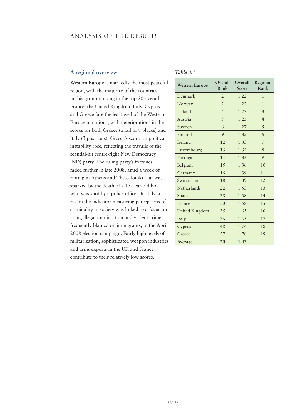# Analysis of the Results

#### **A regional overview**

**Western Europe** is markedly the most peaceful region, with the majority of the countries in this group ranking in the top 20 overall. France, the United Kingdom, Italy, Cyprus and Greece fare the least well of the Western European nations, with deteriorations in the scores for both Greece (a fall of 8 places) and Italy (3 positions). Greece's score for political instability rose, reflecting the travails of the scandal-hit centre-right New Democracy (ND) party. The ruling party's fortunes faded further in late 2008, amid a week of rioting in Athens and Thessaloniki that was sparked by the death of a 15-year-old boy who was shot by a police officer. In Italy, a rise in the indicator measuring perceptions of criminality in society was linked to a focus on rising illegal immigration and violent crime, frequently blamed on immigrants, in the April 2008 election campaign. Fairly high levels of militarization, sophisticated weapon industries and arms exports in the UK and France contribute to their relatively low scores.

#### *Table 3.1*

| <b>Western Europe</b> | Overall<br>Rank | Overall<br>Score | Regional<br>Rank |
|-----------------------|-----------------|------------------|------------------|
| Denmark               | $\overline{2}$  | 1.22             | $\mathbf{1}$     |
| Norway                | $\overline{2}$  | 1.22             | $\mathbf{1}$     |
| Iceland               | $\overline{4}$  | 1.23             | 3                |
| Austria               | 5               | 1.25             | $\overline{4}$   |
| Sweden                | 6               | 1.27             | 5                |
| Finland               | 9               | 1.32             | 6                |
| Ireland               | 12              | 1.33             | 7                |
| Luxembourg            | 13              | 1.34             | 8                |
| Portugal              | 14              | 1.35             | 9                |
| Belgium               | 15              | 1.36             | 10               |
| Germany               | 16              | 1.39             | 11               |
| Switzerland           | 18              | 1.39             | 12               |
| Netherlands           | 22              | 1.53             | 13               |
| Spain                 | 28              | 1.58             | 14               |
| France                | 30              | 1.58             | 15               |
| United Kingdom        | 35              | 1.65             | 16               |
| Italy                 | 36              | 1.65             | 17               |
| Cyprus                | 48              | 1.74             | 18               |
| Greece                | 57              | 1.78             | 19               |
| Average               | 20              | 1.43             |                  |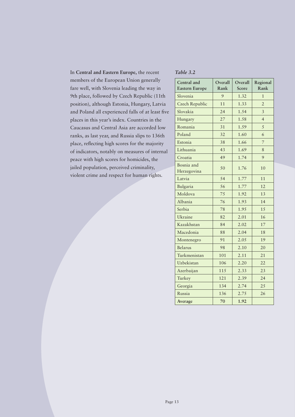Page 13

In **Central and Eastern Europe,** the recent members of the European Union generally fare well, with Slovenia leading the way in 9th place, followed by Czech Republic (11th position), although Estonia, Hungary, Latvia and Poland all experienced falls of at least five places in this year's index. Countries in the Caucasus and Central Asia are accorded low ranks, as last year, and Russia slips to 136th place, reflecting high scores for the majority of indicators, notably on measures of internal peace with high scores for homicides, the jailed population, perceived criminality, violent crime and respect for human rights.

### *Table 3.2*

| Central and<br><b>Eastern Europe</b> | Overall<br>Rank | Overall<br>Score | Regional<br>Rank |
|--------------------------------------|-----------------|------------------|------------------|
| Slovenia                             | 9               | 1.32             | $\mathbf{1}$     |
| <b>Czech Republic</b>                | 11              | 1.33             | $\overline{2}$   |
| Slovakia                             | 24              | 1.54             | $\overline{3}$   |
| Hungary                              | 27              | 1.58             | $\overline{4}$   |
| Romania                              | 31              | 1.59             | 5                |
| Poland                               | 32              | 1.60             | 6                |
| Estonia                              | 38              | 1.66             | 7                |
| Lithuania                            | 43              | 1.69             | 8                |
| Croatia                              | 49              | 1.74             | 9                |
| Bosnia and<br>Herzegovina            | 50              | 1.76             | 10               |
| Latvia                               | 54              | 1.77             | 11               |
| Bulgaria                             | 56              | 1.77             | 12               |
| Moldova                              | 75              | 1.92             | 13               |
| Albania                              | 76              | 1.93             | 14               |
| Serbia                               | 78              | 1.95             | 15               |
| Ukraine                              | 82              | 2.01             | 16               |
| Kazakhstan                           | 84              | 2.02             | 17               |
| Macedonia                            | 88              | 2.04             | 18               |
| Montenegro                           | 91              | 2.05             | 19               |
| Belarus                              | 98              | 2.10             | 20               |
| Turkmenistan                         | 101             | 2.11             | 21               |
| Uzbekistan                           | 106             | 2.20             | 22               |
| Azerbaijan                           | 115             | 2.33             | 23               |
| Turkey                               | 121             | 2.39             | 24               |
| Georgia                              | 134             | 2.74             | 25               |
| Russia                               | 136             | 2.75             | 26               |
| Average                              | 70              | 1.92             |                  |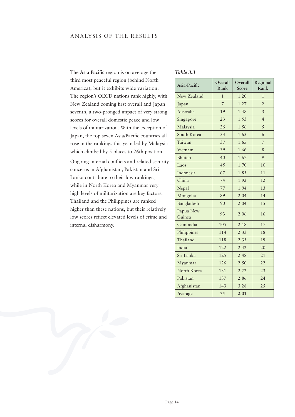# Analysis of the Results

The **Asia Pacific** region is on average the third most peaceful region (behind North America), but it exhibits wide variation. The region's OECD nations rank highly, with New Zealand coming first overall and Japan seventh, a two-pronged impact of very strong scores for overall domestic peace and low levels of militarization. With the exception of Japan, the top seven Asia/Pacific countries all rose in the rankings this year, led by Malaysia which climbed by 5 places to 26th position.

Ongoing internal conflicts and related security concerns in Afghanistan, Pakistan and Sri Lanka contribute to their low rankings, while in North Korea and Myanmar very high levels of militarization are key factors. Thailand and the Philippines are ranked higher than these nations, but their relatively low scores reflect elevated levels of crime and internal disharmony.

| Table 3.3 |  |  |
|-----------|--|--|
|           |  |  |

| Asia-Pacific        | Overall<br>Rank | Overall<br>Score | Regional<br>Rank |
|---------------------|-----------------|------------------|------------------|
| New Zealand         | $\mathbf{1}$    | 1.20             | 1                |
| Japan               | 7               | 1.27             | $\overline{2}$   |
| Australia           | 19              | 1.48             | $\overline{3}$   |
| Singapore           | 23              | 1.53             | $\overline{4}$   |
| Malaysia            | 26              | 1.56             | 5                |
| South Korea         | 33              | 1.63             | 6                |
| Taiwan              | 37              | 1.65             | 7                |
| Vietnam             | 39              | 1.66             | 8                |
| Bhutan              | 40              | 1.67             | 9                |
| Laos                | 45              | 1.70             | 10               |
| Indonesia           | 67              | 1.85             | 11               |
| China               | 74              | 1.92             | 12               |
| Nepal               | 77              | 1.94             | 13               |
| Mongolia            | 89              | 2.04             | 14               |
| Bangladesh          | 90              | 2.04             | 15               |
| Papua New<br>Guinea | 93              | 2.06             | 16               |
| Cambodia            | 105             | 2.18             | 17               |
| Philippines         | 114             | 2.33             | 18               |
| Thailand            | 118             | 2.35             | 19               |
| India               | 122             | 2.42             | 20               |
| Sri Lanka           | 125             | 2.48             | 21               |
| Myanmar             | 126             | 2.50             | 22               |
| North Korea         | 131             | 2.72             | 23               |
| Pakistan            | 137             | 2.86             | 24               |
| Afghanistan         | 143             | 3.28             | 25               |
| Average             | 75              | 2.01             |                  |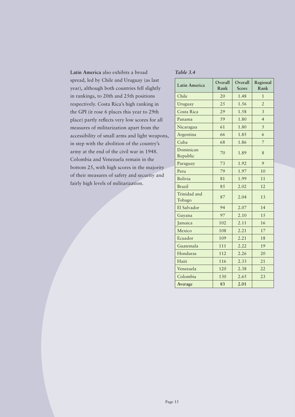**Latin America** also exhibits a broad spread, led by Chile and Uruguay (as last year), although both countries fell slightly in rankings, to 20th and 25th positions respectively. Costa Rica's high ranking in the GPI (it rose 6 places this year to 29th place) partly reflects very low scores for all measures of militarization apart from the accessibility of small arms and light weapons, in step with the abolition of the country's army at the end of the civil war in 1948. Colombia and Venezuela remain in the bottom 25, with high scores in the majority of their measures of safety and security and fairly high levels of militarization.

| Table 3.4 |
|-----------|
|-----------|

| Latin America          | Overall<br>Rank | Overall<br>Score | Regional<br>Rank |
|------------------------|-----------------|------------------|------------------|
| Chile                  | 20              | 1.48             | $\overline{1}$   |
| Uruguay                | 25              | 1.56             | $\overline{2}$   |
| Costa Rica             | 29              | 1.58             | 3                |
| Panama                 | 59              | 1.80             | $\overline{4}$   |
| Nicaragua              | 61              | 1.80             | 5                |
| Argentina              | 66              | 1.85             | 6                |
| Cuba                   | 68              | 1.86             | 7                |
| Dominican<br>Republic  | 70              | 1.89             | 8                |
| Paraguay               | 73              | 1.92             | 9                |
| Peru                   | 79              | 1.97             | 10               |
| Bolivia                | 81              | 1.99             | 11               |
| <b>Brazil</b>          | 85              | 2.02             | 12               |
| Trinidad and<br>Tobago | 87              | 2.04             | 13               |
| El Salvador            | 94              | 2.07             | 14               |
| Guyana                 | 97              | 2.10             | 15               |
| Jamaica                | 102             | 2.11             | 16               |
| Mexico                 | 108             | 2.21             | 17               |
| Ecuador                | 109             | 2.21             | 18               |
| Guatemala              | 111             | 2.22             | 19               |
| Honduras               | 112             | 2.26             | 20               |
| Haiti                  | 116             | 2.33             | 21               |
| Venezuela              | 120             | 2.38             | 22               |
| Colombia               | 130             | 2.65             | 23               |
| Average                | 83              | 2.01             |                  |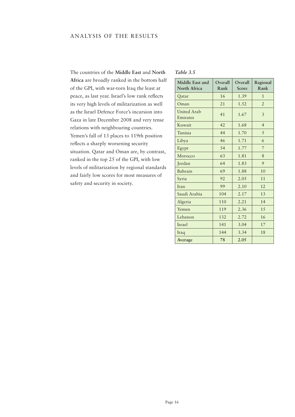# Analysis of the Results

The countries of the **Middle East** and **North Africa** are broadly ranked in the bottom half of the GPI, with war-torn Iraq the least at peace, as last year. Israel's low rank reflects its very high levels of militarization as well as the Israel Defence Force's incursion into Gaza in late December 2008 and very tense relations with neighbouring countries. Yemen's fall of 13 places to 119th position reflects a sharply worsening security situation. Qatar and Oman are, by contrast, ranked in the top 25 of the GPI, with low levels of militarization by regional standards and fairly low scores for most measures of safety and security in society.

#### *Table 3.5*

| Middle East and<br><b>North Africa</b> | Overall<br>Rank | Overall<br>Score | Regional<br>Rank |
|----------------------------------------|-----------------|------------------|------------------|
| Qatar                                  | 16              | 1.39             | 1                |
| Oman                                   | 21              | 1.52             | $\overline{2}$   |
| <b>United Arab</b><br>Emirates         | 41              | 1.67             | $\overline{3}$   |
| Kuwait                                 | 42              | 1.68             | $\overline{4}$   |
| Tunisia                                | 44              | 1.70             | 5                |
| Libya                                  | 46              | 1.71             | 6                |
| Egypt                                  | 54              | 1.77             | 7                |
| Morocco                                | 63              | 1.81             | 8                |
| Jordan                                 | 64              | 1.83             | 9                |
| Bahrain                                | 69              | 1.88             | 10               |
| Syria                                  | 92              | 2.05             | 11               |
| Iran                                   | 99              | 2.10             | 12               |
| Saudi Arabia                           | 104             | 2.17             | 13               |
| Algeria                                | 110             | 2.21             | 14               |
| Yemen                                  | 119             | 2.36             | 15               |
| Lebanon                                | 132             | 2.72             | 16               |
| Israel                                 | 141             | 3.04             | 17               |
| Iraq                                   | 144             | 3.34             | 18               |
| Average                                | 78              | 2.05             |                  |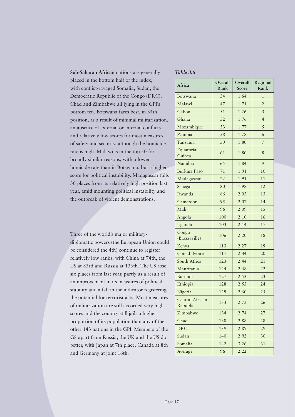**Sub-Saharan African** nations are generally placed in the bottom half of the index, with conflict-ravaged Somalia, Sudan, the Democratic Republic of the Congo (DRC), Chad and Zimbabwe all lying in the GPI's bottom ten. Botswana fares best, in 34th position, as a result of minimal militarization, an absence of external or internal conflicts and relatively low scores for most measures of safety and security, although the homicide rate is high. Malawi is in the top 50 for broadly similar reasons, with a lower homicide rate than in Botswana, but a higher score for political instability. Madagascar falls 30 places from its relatively high position last year, amid mounting political instability and the outbreak of violent demonstrations.

Three of the world's major militarydiplomatic powers (the European Union could be considered the 4th) continue to register relatively low ranks, with China at 74th, the US at 83rd and Russia at 136th. The US rose six places from last year, partly as a result of an improvement in its measures of political stability and a fall in the indicator registering the potential for terrorist acts. Most measures of militarization are still accorded very high scores and the country still jails a higher proportion of its population than any of the other 143 nations in the GPI. Members of the G8 apart from Russia, the UK and the US do better, with Japan at 7th place, Canada at 8th and Germany at joint 16th.

#### *Table 3.6*

| Africa                      | Overall<br>Rank | Overall<br>Score | Regional<br>Rank |
|-----------------------------|-----------------|------------------|------------------|
| Botswana                    | 34              | 1.64             | 1                |
| Malawi                      | 47              | 1.71             | $\overline{2}$   |
| Gabon                       | 51              | 1.76             | 3                |
| Ghana                       | 52              | 1.76             | $\overline{4}$   |
| Mozambique                  | 53              | 1.77             | 5                |
| Zambia                      | 58              | 1.78             | 6                |
| Tanzania                    | 59              | 1.80             | 7                |
| Equatorial<br>Guinea        | 61              | 1.80             | 8                |
| Namibia                     | 65              | 1.84             | 9                |
| Burkina Faso                | 71              | 1.91             | 10               |
| Madagascar                  | 72              | 1.91             | 11               |
| Senegal                     | 80              | 1.98             | 12               |
| Rwanda                      | 86              | 2.03             | 13               |
| Cameroon                    | 95              | 2.07             | 14               |
| Mali                        | 96              | 2.09             | 15               |
| Angola                      | 100             | 2.10             | 16               |
| Uganda                      | 103             | 2.14             | 17               |
| Congo<br>(Brazzaville)      | 106             | 2.20             | 18               |
| Kenya                       | 113             | 2.27             | 19               |
| Cote d'Ivoire               | 117             | 2.34             | 20               |
| South Africa                | 123             | 2.44             | 21               |
| Mauritania                  | 124             | 2.48             | 22               |
| Burundi                     | 127             | 2.53             | 23               |
| Ethiopia                    | 128             | 2.55             | 24               |
| Nigeria                     | 129             | 2.60             | 25               |
| Central African<br>Republic | 133             | 2.73             | 26               |
| Zimbabwe                    | 134             | 2.74             | 27               |
| Chad                        | 138             | 2.88             | 28               |
| <b>DRC</b>                  | 139             | 2.89             | 29               |
| Sudan                       | 140             | 2.92             | 30               |
| Somalia                     | 142             | 3.26             | 31               |
| Average                     | 96              | 2.22             |                  |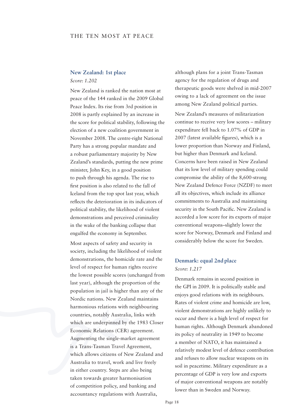## THE TEN MOST AT PEACE

# **New Zealand: 1st place**

*Score: 1.202*

New Zealand is ranked the nation most at peace of the 144 ranked in the 2009 Global Peace Index. Its rise from 3rd position in 2008 is partly explained by an increase in the score for political stability, following the election of a new coalition government in November 2008. The centre-right National Party has a strong popular mandate and a robust parliamentary majority by New Zealand's standards, putting the new prime minister, John Key, in a good position to push through his agenda. The rise to first position is also related to the fall of Iceland from the top spot last year, which reflects the deterioration in its indicators of political stability, the likelihood of violent demonstrations and perceived criminality in the wake of the banking collapse that engulfed the economy in September.

Most aspects of safety and security in society, including the likelihood of violent demonstrations, the homicide rate and the level of respect for human rights receive the lowest possible scores (unchanged from last year), although the proportion of the population in jail is higher than any of the Nordic nations. New Zealand maintains harmonious relations with neighbouring countries, notably Australia, links with which are underpinned by the 1983 Closer Economic Relations (CER) agreement. Augmenting the single-market agreement is a Trans-Tasman Travel Agreement, which allows citizens of New Zealand and Australia to travel, work and live freely in either country. Steps are also being taken towards greater harmonisation of competition policy, and banking and accountancy regulations with Australia,

although plans for a joint Trans-Tasman agency for the regulation of drugs and therapeutic goods were shelved in mid-2007 owing to a lack of agreement on the issue among New Zealand political parties.

New Zealand's measures of militarization continue to receive very low scores – military expenditure fell back to 1.07% of GDP in 2007 (latest available figures), which is a lower proportion than Norway and Finland, but higher than Denmark and Iceland. Concerns have been raised in New Zealand that its low level of military spending could compromise the ability of the 8,600-strong New Zealand Defence Force (NZDF) to meet all its objectives, which include its alliance commitments to Australia and maintaining security in the South Pacific. New Zealand is accorded a low score for its exports of major conventional weapons–slightly lower the score for Norway, Denmark and Finland and considerably below the score for Sweden.

## **Denmark: equal 2nd place** *Score: 1.217*

Denmark remains in second position in the GPI in 2009. It is politically stable and enjoys good relations with its neighbours. Rates of violent crime and homicide are low, violent demonstrations are highly unlikely to occur and there is a high level of respect for human rights. Although Denmark abandoned its policy of neutrality in 1949 to become a member of NATO, it has maintained a relatively modest level of defence contribution and refuses to allow nuclear weapons on its soil in peacetime. Military expenditure as a percentage of GDP is very low and exports of major conventional weapons are notably lower than in Sweden and Norway.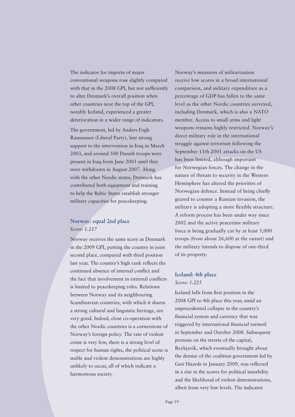The indicator for imports of major conventional weapons rose slightly compared with that in the 2008 GPI, but not sufficiently to alter Denmark's overall position when other countries near the top of the GPI, notably Iceland, experienced a greater deterioration in a wider range of indicators.

The government, led by Anders Fogh Rasmussen (Liberal Party), lent strong support to the intervention in Iraq in March 2003, and around 500 Danish troops were present in Iraq from June 2003 until they were withdrawn in August 2007. Along with the other Nordic states, Denmark has contributed both equipment and training to help the Baltic States establish stronger military capacities for peacekeeping.

## **Norway: equal 2nd place** *Score: 1.217*

Norway receives the same score as Denmark in the 2009 GPI, putting the country in joint second place, compared with third position last year. The country's high rank reflects the continued absence of internal conflict and the fact that involvement in external conflicts is limited to peacekeeping roles. Relations between Norway and its neighbouring Scandinavian countries, with which it shares a strong cultural and linguistic heritage, are very good. Indeed, close co-operation with the other Nordic countries is a cornerstone of Norway's foreign policy. The rate of violent crime is very low, there is a strong level of respect for human rights, the political scene is stable and violent demonstrations are highly unlikely to occur, all of which indicate a harmonious society.

Norway's measures of militarization receive low scores in a broad international comparison, and military expenditure as a percentage of GDP has fallen to the same level as the other Nordic countries surveyed, including Denmark, which is also a NATO member. Access to small arms and light weapons remains highly restricted. Norway's direct military role in the international struggle against terrorism following the September 11th 2001 attacks on the US has been limited, although important for Norwegian forces. The change in the nature of threats to security in the Western Hemisphere has altered the priorities of Norwegian defence. Instead of being chiefly geared to counter a Russian invasion, the military is adopting a more flexible structure. A reform process has been under way since 2002 and the active peacetime military force is being gradually cut by at least 5,000 troops (from about 26,600 at the outset) and the military intends to dispose of one-third of its property.

# **Iceland: 4th place** *Score: 1.225*

Iceland falls from first position in the 2008 GPI to 4th place this year, amid an unprecedented collapse in the country's financial system and currency that was triggered by international financial turmoil in September and October 2008. Subsequent protests on the streets of the capital, Reykjavik, which eventually brought about the demise of the coalition government led by Geir Haarde in January 2009, was reflected in a rise in the scores for political instability and the likelihood of violent demonstrations, albeit from very low levels. The indicator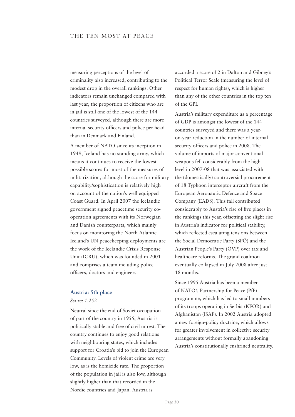## THE TEN MOST AT PEACE

measuring perceptions of the level of criminality also increased, contributing to the modest drop in the overall rankings. Other indicators remain unchanged compared with last year; the proportion of citizens who are in jail is still one of the lowest of the 144 countries surveyed, although there are more internal security officers and police per head than in Denmark and Finland.

A member of NATO since its inception in 1949, Iceland has no standing army, which means it continues to receive the lowest possible scores for most of the measures of militarization, although the score for military capability/sophistication is relatively high on account of the nation's well equipped Coast Guard. In April 2007 the Icelandic government signed peacetime security cooperation agreements with its Norwegian and Danish counterparts, which mainly focus on monitoring the North Atlantic. Iceland's UN peacekeeping deployments are the work of the Icelandic Crisis Response Unit (ICRU), which was founded in 2001 and comprises a team including police officers, doctors and engineers.

#### **Austria: 5th place**

#### *Score: 1.252*

Neutral since the end of Soviet occupation of part of the country in 1955, Austria is politically stable and free of civil unrest. The country continues to enjoy good relations with neighbouring states, which includes support for Croatia's bid to join the European Community. Levels of violent crime are very low, as is the homicide rate. The proportion of the population in jail is also low, although slightly higher than that recorded in the Nordic countries and Japan. Austria is

accorded a score of 2 in Dalton and Gibney's Political Terror Scale (measuring the level of respect for human rights), which is higher than any of the other countries in the top ten of the GPI.

Austria's military expenditure as a percentage of GDP is amongst the lowest of the 144 countries surveyed and there was a yearon-year reduction in the number of internal security officers and police in 2008. The volume of imports of major conventional weapons fell considerably from the high level in 2007-08 that was associated with the (domestically) controversial procurement of 18 Typhoon interceptor aircraft from the European Aeronautic Defence and Space Company (EADS). This fall contributed considerably to Austria's rise of five places in the rankings this year, offsetting the slight rise in Austria's indicator for political stability, which reflected escalating tensions between the Social Democratic Party (SPÖ) and the Austrian People's Party (ÖVP) over tax and healthcare reforms. The grand coalition eventually collapsed in July 2008 after just 18 months.

Since 1995 Austria has been a member of NATO's Partnership for Peace (PfP) programme, which has led to small numbers of its troops operating in Serbia (KFOR) and Afghanistan (ISAF). In 2002 Austria adopted a new foreign-policy doctrine, which allows for greater involvement in collective security arrangements without formally abandoning Austria's constitutionally enshrined neutrality.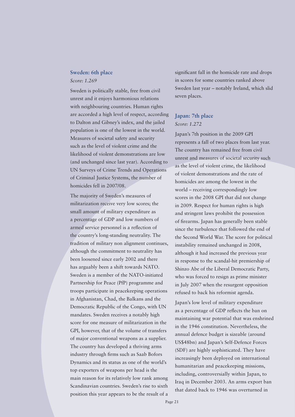# **Sweden: 6th place** *Score: 1.269*

Sweden is politically stable, free from civil unrest and it enjoys harmonious relations with neighbouring countries. Human rights are accorded a high level of respect, according to Dalton and Gibney's index, and the jailed population is one of the lowest in the world. Measures of societal safety and security such as the level of violent crime and the likelihood of violent demonstrations are low (and unchanged since last year). According to UN Surveys of Crime Trends and Operations of Criminal Justice Systems, the number of homicides fell in 2007/08.

The majority of Sweden's measures of militarization receive very low scores; the small amount of military expenditure as a percentage of GDP and low numbers of armed service personnel is a reflection of the country's long-standing neutrality. The tradition of military non alignment continues, although the commitment to neutrality has been loosened since early 2002 and there has arguably been a shift towards NATO. Sweden is a member of the NATO-initiated Partnership for Peace (PfP) programme and troops participate in peacekeeping operations in Afghanistan, Chad, the Balkans and the Democratic Republic of the Congo, with UN mandates. Sweden receives a notably high score for one measure of militarization in the GPI, however, that of the volume of transfers of major conventional weapons as a supplier. The country has developed a thriving arms industry through firms such as Saab Bofors Dynamics and its status as one of the world's top exporters of weapons per head is the main reason for its relatively low rank among Scandinavian countries. Sweden's rise to sixth position this year appears to be the result of a

significant fall in the homicide rate and drops in scores for some countries ranked above Sweden last year – notably Ireland, which slid seven places.

# **Japan: 7th place** *Score: 1.272*

Japan's 7th position in the 2009 GPI represents a fall of two places from last year. The country has remained free from civil unrest and measures of societal security such as the level of violent crime, the likelihood of violent demonstrations and the rate of homicides are among the lowest in the world – receiving correspondingly low scores in the 2008 GPI that did not change in 2009. Respect for human rights is high and stringent laws prohibit the possession of firearms. Japan has generally been stable since the turbulence that followed the end of the Second World War. The score for political instability remained unchanged in 2008, although it had increased the previous year in response to the scandal-hit premiership of Shinzo Abe of the Liberal Democratic Party, who was forced to resign as prime minister in July 2007 when the resurgent opposition refused to back his reformist agenda.

Japan's low level of military expenditure as a percentage of GDP reflects the ban on maintaining war potential that was enshrined in the 1946 constitution. Nevertheless, the annual defence budget is sizeable (around US\$48bn) and Japan's Self-Defence Forces (SDF) are highly sophisticated. They have increasingly been deployed on international humanitarian and peacekeeping missions, including, controversially within Japan, to Iraq in December 2003. An arms export ban that dated back to 1946 was overturned in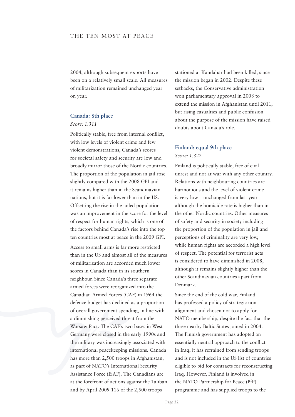## THE TEN MOST AT PEACE

2004, although subsequent exports have been on a relatively small scale. All measures of militarization remained unchanged year on year.

### **Canada: 8th place**

### *Score: 1.311*

Politically stable, free from internal conflict, with low levels of violent crime and few violent demonstrations, Canada's scores for societal safety and security are low and broadly mirror those of the Nordic countries. The proportion of the population in jail rose slightly compared with the 2008 GPI and it remains higher than in the Scandinavian nations, but it is far lower than in the US. Offsetting the rise in the jailed population was an improvement in the score for the level of respect for human rights, which is one of the factors behind Canada's rise into the top ten countries most at peace in the 2009 GPI.

Access to small arms is far more restricted than in the US and almost all of the measures of militarization are accorded much lower scores in Canada than in its southern neighbour. Since Canada's three separate armed forces were reorganized into the Canadian Armed Forces (CAF) in 1964 the defence budget has declined as a proportion of overall government spending, in line with a diminishing perceived threat from the Warsaw Pact. The CAF's two bases in West Germany were closed in the early 1990s and the military was increasingly associated with international peacekeeping missions. Canada has more than 2,500 troops in Afghanistan, as part of NATO's International Security Assistance Force (ISAF). The Canadians are at the forefront of actions against the Taliban and by April 2009 116 of the 2,500 troops

stationed at Kandahar had been killed, since the mission began in 2002. Despite these setbacks, the Conservative administration won parliamentary approval in 2008 to extend the mission in Afghanistan until 2011, but rising casualties and public confusion about the purpose of the mission have raised doubts about Canada's role.

## **Finland: equal 9th place** *Score: 1.322*

Finland is politically stable, free of civil unrest and not at war with any other country. Relations with neighbouring countries are harmonious and the level of violent crime is very low – unchanged from last year – although the homicide rate is higher than in the other Nordic countries. Other measures of safety and security in society including the proportion of the population in jail and perceptions of criminality are very low, while human rights are accorded a high level of respect. The potential for terrorist acts is considered to have diminished in 2008, although it remains slightly higher than the other Scandinavian countries apart from Denmark.

Since the end of the cold war, Finland has professed a policy of strategic nonalignment and chosen not to apply for NATO membership, despite the fact that the three nearby Baltic States joined in 2004. The Finnish government has adopted an essentially neutral approach to the conflict in Iraq; it has refrained from sending troops and is not included in the US list of countries eligible to bid for contracts for reconstructing Iraq. However, Finland is involved in the NATO Partnership for Peace (PfP) programme and has supplied troops to the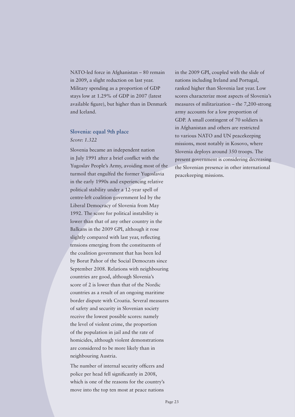NATO-led force in Afghanistan – 80 remain in 2009, a slight reduction on last year. Military spending as a proportion of GDP stays low at 1.29% of GDP in 2007 (latest available figure), but higher than in Denmark and Iceland.

# **Slovenia: equal 9th place** *Score: 1.322*

Slovenia became an independent nation in July 1991 after a brief conflict with the Yugoslav People's Army, avoiding most of the turmoil that engulfed the former Yugoslavia in the early 1990s and experiencing relative political stability under a 12-year spell of centre-left coalition government led by the Liberal Democracy of Slovenia from May 1992. The score for political instability is lower than that of any other country in the Balkans in the 2009 GPI, although it rose slightly compared with last year, reflecting tensions emerging from the constituents of the coalition government that has been led by Borut Pahor of the Social Democrats since September 2008. Relations with neighbouring countries are good, although Slovenia's score of 2 is lower than that of the Nordic countries as a result of an ongoing maritime border dispute with Croatia. Several measures of safety and security in Slovenian society receive the lowest possible scores: namely the level of violent crime, the proportion of the population in jail and the rate of homicides, although violent demonstrations are considered to be more likely than in neighbouring Austria.

The number of internal security officers and police per head fell significantly in 2008, which is one of the reasons for the country's move into the top ten most at peace nations

in the 2009 GPI, coupled with the slide of nations including Ireland and Portugal, ranked higher than Slovenia last year. Low scores characterize most aspects of Slovenia's measures of militarization – the 7,200-strong army accounts for a low proportion of GDP. A small contingent of 70 soldiers is in Afghanistan and others are restricted to various NATO and UN peacekeeping missions, most notably in Kosovo, where Slovenia deploys around 350 troops. The present government is considering decreasing the Slovenian presence in other international peacekeeping missions.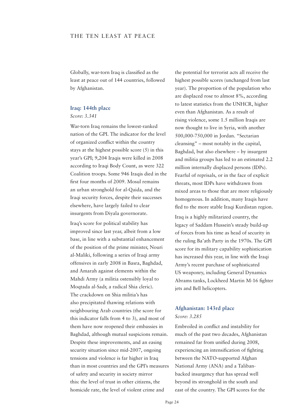## THE TEN LEAST AT PEACE

Globally, war-torn Iraq is classified as the least at peace out of 144 countries, followed by Afghanistan.

### **Iraq: 144th place**

#### *Score: 3.341*

War-torn Iraq remains the lowest-ranked nation of the GPI. The indicator for the level of organized conflict within the country stays at the highest possible score (5) in this year's GPI; 9,204 Iraqis were killed in 2008 according to Iraqi Body Count, as were 322 Coalition troops. Some 946 Iraqis died in the first four months of 2009. Mosul remains an urban stronghold for al-Qaida, and the Iraqi security forces, despite their successes elsewhere, have largely failed to clear insurgents from Diyala governorate.

Iraq's score for political stability has improved since last year, albeit from a low base, in line with a substantial enhancement of the position of the prime minister, Nouri al-Maliki, following a series of Iraqi army offensives in early 2008 in Basra, Baghdad, and Amarah against elements within the Mahdi Army (a militia ostensibly loyal to Moqtada al-Sadr, a radical Shia cleric). The crackdown on Shia militia's has also precipitated thawing relations with neighbouring Arab countries (the score for this indicator falls from 4 to 3), and most of them have now reopened their embassies in Baghdad, although mutual suspicions remain. Despite these improvements, and an easing security situation since mid-2007, ongoing tensions and violence is far higher in Iraq than in most countries and the GPI's measures of safety and security in society mirror this: the level of trust in other citizens, the homicide rate, the level of violent crime and

the potential for terrorist acts all receive the highest possible scores (unchanged from last year). The proportion of the population who are displaced rose to almost 8%, according to latest statistics from the UNHCR, higher even than Afghanistan. As a result of rising violence, some 1.5 million Iraqis are now thought to live in Syria, with another 500,000-750,000 in Jordan. "Sectarian cleansing" – most notably in the capital, Baghdad, but also elsewhere – by insurgent and militia groups has led to an estimated 2.2 million internally displaced persons (IDPs). Fearful of reprisals, or in the face of explicit threats, most IDPs have withdrawn from mixed areas to those that are more religiously homogenous. In addition, many Iraqis have fled to the more stable Iraqi Kurdistan region.

Iraq is a highly militarized country, the legacy of Saddam Hussein's steady build-up of forces from his time as head of security in the ruling Ba'ath Party in the 1970s. The GPI score for its military capability sophistication has increased this year, in line with the Iraqi Army's recent purchase of sophisticated US weaponry, including General Dynamics Abrams tanks, Lockheed Martin M-16 fighter jets and Bell helicopters.

## **Afghanistan: 143rd place** *Score: 3.285*

Embroiled in conflict and instability for much of the past two decades, Afghanistan remained far from unified during 2008, experiencing an intensification of fighting between the NATO-supported Afghan National Army (ANA) and a Talibanbacked insurgency that has spread well beyond its stronghold in the south and east of the country. The GPI scores for the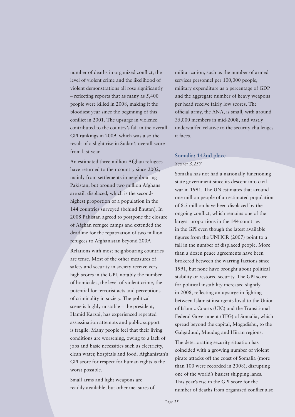number of deaths in organized conflict, the level of violent crime and the likelihood of violent demonstrations all rose significantly – reflecting reports that as many as 5,400 people were killed in 2008, making it the bloodiest year since the beginning of this conflict in 2001. The upsurge in violence contributed to the country's fall in the overall GPI rankings in 2009, which was also the result of a slight rise in Sudan's overall score from last year.

An estimated three million Afghan refugees have returned to their country since 2002, mainly from settlements in neighbouring Pakistan, but around two million Afghans are still displaced, which is the secondhighest proportion of a population in the 144 countries surveyed (behind Bhutan). In 2008 Pakistan agreed to postpone the closure of Afghan refugee camps and extended the deadline for the repatriation of two million refugees to Afghanistan beyond 2009.

Relations with most neighbouring countries are tense. Most of the other measures of safety and security in society receive very high scores in the GPI, notably the number of homicides, the level of violent crime, the potential for terrorist acts and perceptions of criminality in society. The political scene is highly unstable – the president, Hamid Karzai, has experienced repeated assassination attempts and public support is fragile. Many people feel that their living conditions are worsening, owing to a lack of jobs and basic necessities such as electricity, clean water, hospitals and food. Afghanistan's GPI score for respect for human rights is the worst possible.

Small arms and light weapons are readily available, but other measures of militarization, such as the number of armed services personnel per 100,000 people, military expenditure as a percentage of GDP and the aggregate number of heavy weapons per head receive fairly low scores. The official army, the ANA, is small, with around 35,000 members in mid-2008, and vastly understaffed relative to the security challenges it faces.

## **Somalia: 142nd place** *Score: 3.257*

Somalia has not had a nationally functioning state government since its descent into civil war in 1991. The UN estimates that around one million people of an estimated population of 8.5 million have been displaced by the ongoing conflict, which remains one of the largest proportions in the 144 countries in the GPI even though the latest available figures from the UNHCR (2007) point to a fall in the number of displaced people. More than a dozen peace agreements have been brokered between the warring factions since 1991, but none have brought about political stability or restored security. The GPI score for political instability increased slightly in 2008, reflecting an upsurge in fighting between Islamist insurgents loyal to the Union of Islamic Courts (UIC) and the Transitional Federal Government (TFG) of Somalia, which spread beyond the capital, Mogadishu, to the Galgaduud, Muudug and Hiiran regions.

The deteriorating security situation has coincided with a growing number of violent pirate attacks off the coast of Somalia (more than 100 were recorded in 2008); disrupting one of the world's busiest shipping lanes. This year's rise in the GPI score for the number of deaths from organized conflict also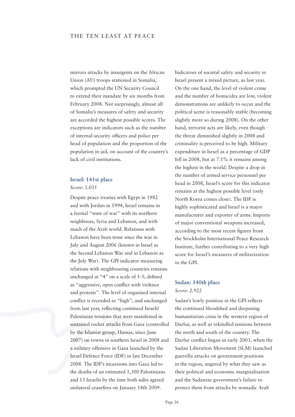## The ten least at peace

mirrors attacks by insurgents on the African Union (AU) troops stationed in Somalia, which prompted the UN Security Council to extend their mandate by six months from February 2008. Not surprisingly, almost all of Somalia's measures of safety and security are accorded the highest possible scores. The exceptions are indicators such as the number of internal security officers and police per head of population and the proportion of the population in jail, on account of the country's lack of civil institutions.

### **Israel: 141st place**

### *Score: 3.035*

Despite peace treaties with Egypt in 1982 and with Jordan in 1994, Israel remains in a formal "state of war" with its northern neighbours, Syria and Lebanon, and with much of the Arab world. Relations with Lebanon have been tense since the war in July and August 2006 (known in Israel as the Second Lebanon War and in Lebanon as the July War). The GPI indicator measuring relations with neighbouring countries remains unchanged at "4" on a scale of 1-5; defined as "aggressive, open conflict with violence and protests". The level of organized internal conflict is recorded as "high", and unchanged from last year, reflecting continued Israeli/ Palestinian tensions that were manifested in sustained rocket attacks from Gaza (controlled by the Islamist group, Hamas, since June 2007) on towns in southern Israel in 2008 and a military offensive in Gaza launched by the Israel Defence Force (IDF) in late December 2008. The IDF's incursions into Gaza led to the deaths of an estimated 1,300 Palestinians and 13 Israelis by the time both sides agreed unilateral ceasefires on January 18th 2009.

Indicators of societal safety and security in Israel present a mixed picture, as last year. On the one hand, the level of violent crime and the number of homicides are low, violent demonstrations are unlikely to occur and the political scene is reasonably stable (becoming slightly more so during 2008). On the other hand, terrorist acts are likely, even though the threat diminished slightly in 2008 and criminality is perceived to be high. Military expenditure in Israel as a percentage of GDP fell in 2008, but at 7.1% it remains among the highest in the world. Despite a drop in the number of armed service personnel per head in 2008, Israel's score for this indicator remains at the highest possible level (only North Korea comes close). The IDF is highly sophisticated and Israel is a major manufacturer and exporter of arms. Imports of major conventional weapons increased, according to the most recent figures from the Stockholm International Peace Research Institute, further contributing to a very high score for Israel's measures of militarization in the GPI.

## **Sudan: 140th place** *Score: 2.922*

Sudan's lowly position in the GPI reflects the continued bloodshed and deepening humanitarian crisis in the western region of Darfur, as well as rekindled tensions between the north and south of the country. The Darfur conflict began in early 2003, when the Sudan Liberation Movement (SLM) launched guerrilla attacks on government positions in the region, angered by what they saw as their political and economic marginalisation and the Sudanese government's failure to protect them from attacks by nomadic Arab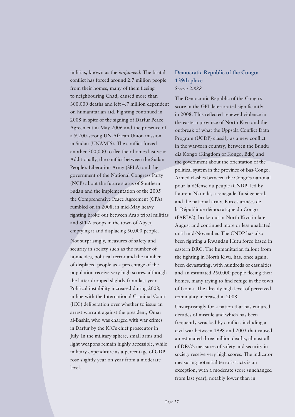militias, known as the *janjaweed*. The brutal conflict has forced around 2.7 million people from their homes, many of them fleeing to neighbouring Chad, caused more than 300,000 deaths and left 4.7 million dependent on humanitarian aid. Fighting continued in 2008 in spite of the signing of Darfur Peace Agreement in May 2006 and the presence of a 9,200-strong UN-African Union mission in Sudan (UNAMIS). The conflict forced another 300,000 to flee their homes last year. Additionally, the conflict between the Sudan People's Liberation Army (SPLA) and the government of the National Congress Party (NCP) about the future status of Southern Sudan and the implementation of the 2005 the Comprehensive Peace Agreement (CPA) rumbled on in 2008; in mid-May heavy fighting broke out between Arab tribal militias and SPLA troops in the town of Abyei, emptying it and displacing 50,000 people.

Not surprisingly, measures of safety and security in society such as the number of homicides, political terror and the number of displaced people as a percentage of the population receive very high scores, although the latter dropped slightly from last year. Political instability increased during 2008, in line with the International Criminal Court (ICC) deliberation over whether to issue an arrest warrant against the president, Omar al-Bashir, who was charged with war crimes in Darfur by the ICC's chief prosecutor in July. In the military sphere, small arms and light weapons remain highly accessible, while military expenditure as a percentage of GDP rose slightly year on year from a moderate level.

# **Democratic Republic of the Congo: 139th place** *Score: 2.888*

The Democratic Republic of the Congo's score in the GPI deteriorated significantly in 2008. This reflected renewed violence in the eastern province of North Kivu and the outbreak of what the Uppsala Conflict Data Program (UCDP) classify as a new conflict in the war-torn country; between the Bundu dia Kongo (Kingdom of Kongo, Bdk) and the government about the orientation of the political system in the province of Bas-Congo. Armed clashes between the Congrès national pour la défense du peuple (CNDP) led by Laurent Nkunda, a renegade Tutsi general, and the national army, Forces armées de la République démocratique du Congo (FARDC), broke out in North Kivu in late August and continued more or less unabated until mid-November. The CNDP has also been fighting a Rwandan Hutu force based in eastern DRC. The humanitarian fallout from the fighting in North Kivu, has, once again, been devastating, with hundreds of casualties and an estimated 250,000 people fleeing their homes, many trying to find refuge in the town of Goma. The already high level of perceived criminality increased in 2008.

Unsurprisingly for a nation that has endured decades of misrule and which has been frequently wracked by conflict, including a civil war between 1998 and 2003 that caused an estimated three million deaths, almost all of DRC's measures of safety and security in society receive very high scores. The indicator measuring potential terrorist acts is an exception, with a moderate score (unchanged from last year), notably lower than in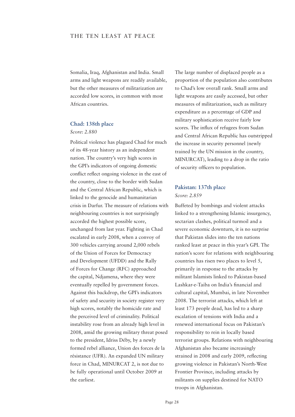## The ten least at peace

Somalia, Iraq, Afghanistan and India. Small arms and light weapons are readily available, but the other measures of militarization are accorded low scores, in common with most African countries.

## **Chad: 138th place**

#### *Score: 2.880*

Political violence has plagued Chad for much of its 48-year history as an independent nation. The country's very high scores in the GPI's indicators of ongoing domestic conflict reflect ongoing violence in the east of the country, close to the border with Sudan and the Central African Republic, which is linked to the genocide and humanitarian crisis in Darfur. The measure of relations with neighbouring countries is not surprisingly accorded the highest possible score, unchanged from last year. Fighting in Chad escalated in early 2008, when a convoy of 300 vehicles carrying around 2,000 rebels of the Union of Forces for Democracy and Development (UFDD) and the Rally of Forces for Change (RFC) approached the capital, Ndjamena, where they were eventually repelled by government forces. Against this backdrop, the GPI's indicators of safety and security in society register very high scores, notably the homicide rate and the perceived level of criminality. Political instability rose from an already high level in 2008, amid the growing military threat posed to the president, Idriss Déby, by a newly formed rebel alliance, Union des forces de la résistance (UFR). An expanded UN military force in Chad, MINURCAT 2, is not due to be fully operational until October 2009 at the earliest.

The large number of displaced people as a proportion of the population also contributes to Chad's low overall rank. Small arms and light weapons are easily accessed, but other measures of militarization, such as military expenditure as a percentage of GDP and military sophistication receive fairly low scores. The influx of refugees from Sudan and Central African Republic has outstripped the increase in security personnel (newly trained by the UN mission in the country, MINURCAT), leading to a drop in the ratio of security officers to population.

# **Pakistan: 137th place** *Score: 2.859*

Buffeted by bombings and violent attacks linked to a strengthening Islamic insurgency, sectarian clashes, political turmoil and a severe economic downturn, it is no surprise that Pakistan slides into the ten nations ranked least at peace in this year's GPI. The nation's score for relations with neighbouring countries has risen two places to level 5, primarily in response to the attacks by militant Islamists linked to Pakistan-based Lashkar-e-Taiba on India's financial and cultural capital, Mumbai, in late November 2008. The terrorist attacks, which left at least 173 people dead, has led to a sharp escalation of tensions with India and a renewed international focus on Pakistan's responsibility to rein in locally based terrorist groups. Relations with neighbouring Afghanistan also became increasingly strained in 2008 and early 2009, reflecting growing violence in Pakistan's North-West Frontier Province, including attacks by militants on supplies destined for NATO troops in Afghanistan.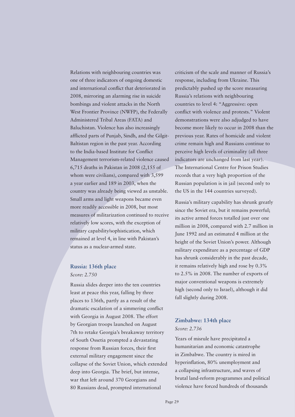Relations with neighbouring countries was one of three indicators of ongoing domestic and international conflict that deteriorated in 2008, mirroring an alarming rise in suicide bombings and violent attacks in the North West Frontier Province (NWFP), the Federally Administered Tribal Areas (FATA) and Baluchistan. Violence has also increasingly afflicted parts of Punjab, Sindh, and the Gilgit-Baltistan region in the past year. According to the India-based Institute for Conflict Management terrorism-related violence caused 6,715 deaths in Pakistan in 2008 (2,155 of whom were civilians), compared with 3,599 a year earlier and 189 in 2003, when the country was already being viewed as unstable. Small arms and light weapons became even more readily accessible in 2008, but most measures of militarization continued to receive relatively low scores, with the exception of military capability/sophistication, which remained at level 4, in line with Pakistan's status as a nuclear-armed state.

# **Russia: 136th place**

# *Score: 2.750*

Russia slides deeper into the ten countries least at peace this year, falling by three places to 136th, partly as a result of the dramatic escalation of a simmering conflict with Georgia in August 2008. The effort by Georgian troops launched on August 7th to retake Georgia's breakaway territory of South Ossetia prompted a devastating response from Russian forces, their first external military engagement since the collapse of the Soviet Union, which extended deep into Georgia. The brief, but intense, war that left around 370 Georgians and 80 Russians dead, prompted international

criticism of the scale and manner of Russia's response, including from Ukraine. This predictably pushed up the score measuring Russia's relations with neighbouring countries to level 4: "Aggressive: open conflict with violence and protests." Violent demonstrations were also adjudged to have become more likely to occur in 2008 than the previous year. Rates of homicide and violent crime remain high and Russians continue to perceive high levels of criminality (all three indicators are unchanged from last year). The International Centre for Prison Studies records that a very high proportion of the Russian population is in jail (second only to the US in the 144 countries surveyed).

Russia's military capability has shrunk greatly since the Soviet era, but it remains powerful; its active armed forces totalled just over one million in 2008, compared with 2.7 million in June 1992 and an estimated 4 million at the height of the Soviet Union's power. Although military expenditure as a percentage of GDP has shrunk considerably in the past decade, it remains relatively high and rose by 0.3% to 2.5% in 2008. The number of exports of major conventional weapons is extremely high (second only to Israel), although it did fall slightly during 2008.

# **Zimbabwe: 134th place** *Score: 2.736*

Years of misrule have precipitated a humanitarian and economic catastrophe in Zimbabwe. The country is mired in hyperinflation, 80% unemployment and a collapsing infrastructure, and waves of brutal land-reform programmes and political violence have forced hundreds of thousands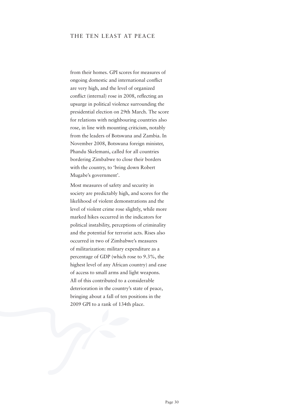## THE TEN LEAST AT PEACE

from their homes. GPI scores for measures of ongoing domestic and international conflict are very high, and the level of organized conflict (internal) rose in 2008, reflecting an upsurge in political violence surrounding the presidential election on 29th March. The score for relations with neighbouring countries also rose, in line with mounting criticism, notably from the leaders of Botswana and Zambia. In November 2008, Botswana foreign minister, Phandu Skelemani, called for all countries bordering Zimbabwe to close their borders with the country, to 'bring down Robert Mugabe's government'.

Most measures of safety and security in society are predictably high, and scores for the likelihood of violent demonstrations and the level of violent crime rose slightly, while more marked hikes occurred in the indicators for political instability, perceptions of criminality and the potential for terrorist acts. Rises also occurred in two of Zimbabwe's measures of militarization: military expenditure as a percentage of GDP (which rose to 9.3%, the highest level of any African country) and ease of access to small arms and light weapons. All of this contributed to a considerable deterioration in the country's state of peace, bringing about a fall of ten positions in the 2009 GPI to a rank of 134th place.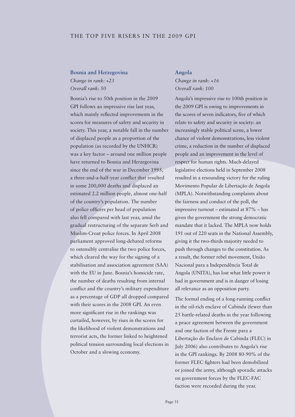## The top five risers in the 2009 GPI

# **Bosnia and Herzegovina** *Change in rank: +23 Overall rank: 50*

Bosnia's rise to 50th position in the 2009 GPI follows an impressive rise last year, which mainly reflected improvements in the scores for measures of safety and security in society. This year, a notable fall in the number of displaced people as a proportion of the population (as recorded by the UNHCR) was a key factor – around one million people have returned to Bosnia and Herzegovina since the end of the war in December 1995, a three-and-a-half-year conflict that resulted in some 200,000 deaths and displaced an estimated 2.2 million people, almost one-half of the country's population. The number of police officers per head of population also fell compared with last year, amid the gradual restructuring of the separate Serb and Muslim-Croat police forces. In April 2008 parliament approved long-debated reforms to ostensibly centralise the two police forces, which cleared the way for the signing of a stabilisation and association agreement (SAA) with the EU in June. Bosnia's homicide rate, the number of deaths resulting from internal conflict and the country's military expenditure as a percentage of GDP all dropped compared with their scores in the 2008 GPI. An even more significant rise in the rankings was curtailed, however, by rises in the scores for the likelihood of violent demonstrations and terrorist acts, the former linked to heightened political tension surrounding local elections in October and a slowing economy.

#### **Angola**

# *Change in rank: +16 Overall rank: 100*

Angola's impressive rise to 100th position in the 2009 GPI is owing to improvements in the scores of seven indicators, five of which relate to safety and security in society: an increasingly stable political scene, a lower chance of violent demonstrations, less violent crime, a reduction in the number of displaced people and an improvement in the level of respect for human rights. Much-delayed legislative elections held in September 2008 resulted in a resounding victory for the ruling Movimento Popular de Libertação de Angola (MPLA). Notwithstanding complaints about the fairness and conduct of the poll, the impressive turnout – estimated at 87% – has given the government the strong democratic mandate that it lacked. The MPLA now holds 191 out of 220 seats in the National Assembly, giving it the two-thirds majority needed to push through changes to the constitution. As a result, the former rebel movement, União Nacional para a Independência Total de Angola (UNITA), has lost what little power it had in government and is in danger of losing all relevance as an opposition party.

The formal ending of a long-running conflict in the oil-rich enclave of Cabinda (fewer than 25 battle-related deaths in the year following a peace agreement between the government and one faction of the Frente para a Libertação do Enclave de Cabinda (FLEC) in July 2006) also contributes to Angola's rise in the GPI rankings. By 2008 80-90% of the former FLEC fighters had been demobilized or joined the army, although sporadic attacks on government forces by the FLEC-FAC faction were recorded during the year.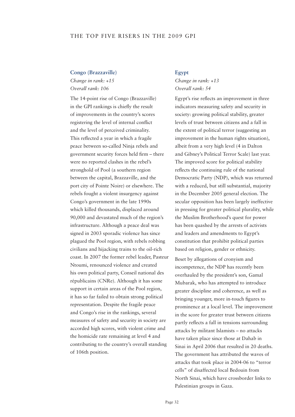## The top five risers in the 2009 GPI

#### **Congo (Brazzaville)**

*Change in rank: +15 Overall rank: 106*

The 14-point rise of Congo (Brazzaville) in the GPI rankings is chiefly the result of improvements in the country's scores registering the level of internal conflict and the level of perceived criminality. This reflected a year in which a fragile peace between so-called Ninja rebels and government security forces held firm – there were no reported clashes in the rebel's stronghold of Pool (a southern region between the capital, Brazzaville, and the port city of Pointe Noire) or elsewhere. The rebels fought a violent insurgency against Congo's government in the late 1990s which killed thousands, displaced around 90,000 and devastated much of the region's infrastructure. Although a peace deal was signed in 2003 sporadic violence has since plagued the Pool region, with rebels robbing civilians and hijacking trains to the oil-rich coast. In 2007 the former rebel leader, Pasteur Ntoumi, renounced violence and created his own political party, Conseil national des républicains (CNRe). Although it has some support in certain areas of the Pool region, it has so far failed to obtain strong political representation. Despite the fragile peace and Congo's rise in the rankings, several measures of safety and security in society are accorded high scores, with violent crime and the homicide rate remaining at level 4 and contributing to the country's overall standing of 106th position.

#### **Egypt**

*Change in rank: +13 Overall rank: 54*

Egypt's rise reflects an improvement in three indicators measuring safety and security in society: growing political stability, greater levels of trust between citizens and a fall in the extent of political terror (suggesting an improvement in the human rights situation), albeit from a very high level (4 in Dalton and Gibney's Political Terror Scale) last year. The improved score for political stability reflects the continuing rule of the national Democratic Party (NDP), which was returned with a reduced, but still substantial, majority in the December 2005 general election. The secular opposition has been largely ineffective in pressing for greater political plurality, while the Muslim Brotherhood's quest for power has been quashed by the arrests of activists and leaders and amendments to Egypt's constitution that prohibit political parties based on religion, gender or ethnicity.

Beset by allegations of cronyism and incompetence, the NDP has recently been overhauled by the president's son, Gamal Mubarak, who has attempted to introduce greater discipline and coherence, as well as bringing younger, more in-touch figures to prominence at a local level. The improvement in the score for greater trust between citizens partly reflects a fall in tensions surrounding attacks by militant Islamists – no attacks have taken place since those at Dahab in Sinai in April 2006 that resulted in 20 deaths. The government has attributed the waves of attacks that took place in 2004-06 to "terror cells" of disaffected local Bedouin from North Sinai, which have crossborder links to Palestinian groups in Gaza.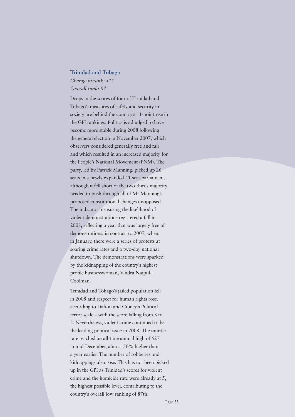#### **Trinidad and Tobago**

*Change in rank: +11 Overall rank: 87*

Drops in the scores of four of Trinidad and Tobago's measures of safety and security in society are behind the country's 11-point rise in the GPI rankings. Politics is adjudged to have become more stable during 2008 following the general election in November 2007, which observers considered generally free and fair and which resulted in an increased majority for the People's National Movement (PNM). The party, led by Patrick Manning, picked up 26 seats in a newly expanded 41-seat parliament, although it fell short of the two-thirds majority needed to push through all of Mr Manning's proposed constitutional changes unopposed. The indicator measuring the likelihood of violent demonstrations registered a fall in 2008, reflecting a year that was largely free of demonstrations, in contrast to 2007, when, in January, there were a series of protests at soaring crime rates and a two-day national shutdown. The demonstrations were sparked by the kidnapping of the country's highest profile businesswoman, Vindra Naipul-Coolman.

Trinidad and Tobago's jailed population fell in 2008 and respect for human rights rose, according to Dalton and Gibney's Political terror scale – with the score falling from 3 to 2. Nevertheless, violent crime continued to be the leading political issue in 2008. The murder rate reached an all-time annual high of 527 in mid-December, almost 50% higher than a year earlier. The number of robberies and kidnappings also rose. This has not been picked up in the GPI as Trinidad's scores for violent crime and the homicide rate were already at 5, the highest possible level, contributing to the country's overall low ranking of 87th.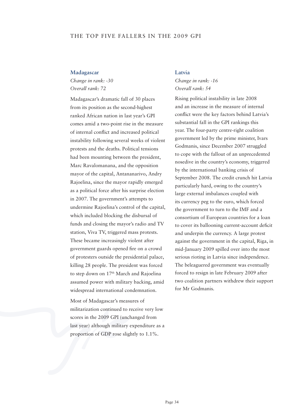## The top five fallers in the 2009 GPI

#### **Madagascar**

*Change in rank: -30 Overall rank: 72*

Madagascar's dramatic fall of 30 places from its position as the second-highest ranked African nation in last year's GPI comes amid a two-point rise in the measure of internal conflict and increased political instability following several weeks of violent protests and the deaths. Political tensions had been mounting between the president, Marc Ravalomanana, and the opposition mayor of the capital, Antananarivo, Andry Rajoelina, since the mayor rapidly emerged as a political force after his surprise election in 2007. The government's attempts to undermine Rajoelina's control of the capital, which included blocking the disbursal of funds and closing the mayor's radio and TV station, Viva TV, triggered mass protests. These became increasingly violent after government guards opened fire on a crowd of protesters outside the presidential palace, killing 28 people. The president was forced to step down on 17th March and Rajoelina assumed power with military backing, amid widespread international condemnation.

Most of Madagascar's measures of militarization continued to receive very low scores in the 2009 GPI (unchanged from last year) although military expenditure as a proportion of GDP rose slightly to 1.1%.

#### **Latvia**

## *Change in rank: -16 Overall rank: 54*

Rising political instability in late 2008 and an increase in the measure of internal conflict were the key factors behind Latvia's substantial fall in the GPI rankings this year. The four-party centre-right coalition government led by the prime minister, Ivars Godmanis, since December 2007 struggled to cope with the fallout of an unprecedented nosedive in the country's economy, triggered by the international banking crisis of September 2008. The credit crunch hit Latvia particularly hard, owing to the country's large external imbalances coupled with its currency peg to the euro, which forced the government to turn to the IMF and a consortium of European countries for a loan to cover its ballooning current-account deficit and underpin the currency. A large protest against the government in the capital, Riga, in mid-January 2009 spilled over into the most serious rioting in Latvia since independence. The beleaguered government was eventually forced to resign in late February 2009 after two coalition partners withdrew their support for Mr Godmanis.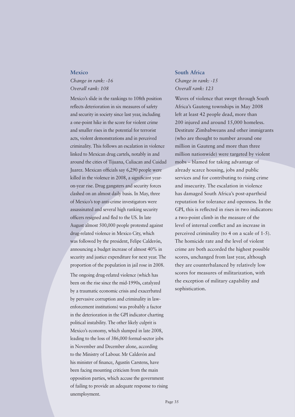#### **Mexico**

# *Change in rank: -16 Overall rank: 108*

Mexico's slide in the rankings to 108th position reflects deterioration in six measures of safety and security in society since last year, including a one-point hike in the score for violent crime and smaller rises in the potential for terrorist acts, violent demonstrations and in perceived criminality. This follows an escalation in violence linked to Mexican drug cartels, notably in and around the cities of Tijuana, Culiacan and Cuidad Juarez. Mexican officials say 6,290 people were killed in the violence in 2008, a significant yearon-year rise. Drug gangsters and security forces clashed on an almost daily basis. In May, three of Mexico's top anti-crime investigators were assassinated and several high ranking security officers resigned and fled to the US. In late August almost 500,000 people protested against drug-related violence in Mexico City, which was followed by the president, Felipe Calderón, announcing a budget increase of almost 40% in security and justice expenditure for next year. The proportion of the population in jail rose in 2008.

The ongoing drug-related violence (which has been on the rise since the mid-1990s, catalyzed by a traumatic economic crisis and exacerbated by pervasive corruption and criminality in lawenforcement institutions) was probably a factor in the deterioration in the GPI indicator charting political instability. The other likely culprit is Mexico's economy, which slumped in late 2008, leading to the loss of 386,000 formal-sector jobs in November and December alone, according to the Ministry of Labour. Mr Calderón and his minister of finance, Agustín Carstens, have been facing mounting criticism from the main opposition parties, which accuse the government of failing to provide an adequate response to rising unemployment.

# **South Africa**

*Change in rank: -15 Overall rank: 123*

Waves of violence that swept through South Africa's Gauteng townships in May 2008 left at least 42 people dead, more than 200 injured and around 15,000 homeless. Destitute Zimbabweans and other immigrants (who are thought to number around one million in Gauteng and more than three million nationwide) were targeted by violent mobs – blamed for taking advantage of already scarce housing, jobs and public services and for contributing to rising crime and insecurity. The escalation in violence has damaged South Africa's post-apartheid reputation for tolerance and openness. In the GPI, this is reflected in rises in two indicators: a two-point climb in the measure of the level of internal conflict and an increase in perceived criminality (to 4 on a scale of 1-5). The homicide rate and the level of violent crime are both accorded the highest possible scores, unchanged from last year, although they are counterbalanced by relatively low scores for measures of militarization, with the exception of military capability and sophistication.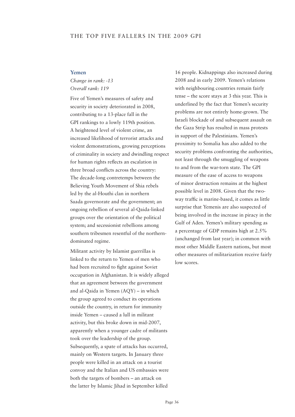# The top five fallers in the 2009 GPI

#### **Yemen**

## *Change in rank: -13 Overall rank: 119*

Five of Yemen's measures of safety and security in society deteriorated in 2008, contributing to a 13-place fall in the GPI rankings to a lowly 119th position. A heightened level of violent crime, an increased likelihood of terrorist attacks and violent demonstrations, growing perceptions of criminality in society and dwindling respect for human rights reflects an escalation in three broad conflicts across the country: The decade-long contretemps between the Believing Youth Movement of Shia rebels led by the al-Houthi clan in northern Saada governorate and the government; an ongoing rebellion of several al-Qaida-linked groups over the orientation of the political system; and secessionist rebellions among southern tribesmen resentful of the northerndominated regime.

Militant activity by Islamist guerrillas is linked to the return to Yemen of men who had been recruited to fight against Soviet occupation in Afghanistan. It is widely alleged that an agreement between the government and al-Qaida in Yemen (AQY) – in which the group agreed to conduct its operations outside the country, in return for immunity inside Yemen – caused a lull in militant activity, but this broke down in mid-2007, apparently when a younger cadre of militants took over the leadership of the group. Subsequently, a spate of attacks has occurred, mainly on Western targets. In January three people were killed in an attack on a tourist convoy and the Italian and US embassies were both the targets of bombers – an attack on the latter by Islamic Jihad in September killed

16 people. Kidnappings also increased during 2008 and in early 2009. Yemen's relations with neighbouring countries remain fairly tense – the score stays at 3 this year. This is underlined by the fact that Yemen's security problems are not entirely home-grown. The Israeli blockade of and subsequent assault on the Gaza Strip has resulted in mass protests in support of the Palestinians. Yemen's proximity to Somalia has also added to the security problems confronting the authorities, not least through the smuggling of weapons to and from the war-torn state. The GPI measure of the ease of access to weapons of minor destruction remains at the highest possible level in 2008. Given that the twoway traffic is marine-based, it comes as little surprise that Yemenis are also suspected of being involved in the increase in piracy in the Gulf of Aden. Yemen's military spending as a percentage of GDP remains high at 2.5% (unchanged from last year); in common with most other Middle Eastern nations, but most other measures of militarization receive fairly low scores.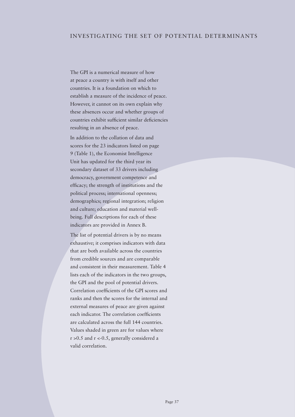## Investigating the set of potential determinants

The GPI is a numerical measure of how at peace a country is with itself and other countries. It is a foundation on which to establish a measure of the incidence of peace. However, it cannot on its own explain why these absences occur and whether groups of countries exhibit sufficient similar deficiencies resulting in an absence of peace.

In addition to the collation of data and scores for the 23 indicators listed on page 9 (Table 1), the Economist Intelligence Unit has updated for the third year its secondary dataset of 33 drivers including democracy, government competence and efficacy; the strength of institutions and the political process; international openness; demographics; regional integration; religion and culture; education and material wellbeing. Full descriptions for each of these indicators are provided in Annex B.

The list of potential drivers is by no means exhaustive; it comprises indicators with data that are both available across the countries from credible sources and are comparable and consistent in their measurement. Table 4 lists each of the indicators in the two groups, the GPI and the pool of potential drivers. Correlation coefficients of the GPI scores and ranks and then the scores for the internal and external measures of peace are given against each indicator. The correlation coefficients are calculated across the full 144 countries. Values shaded in green are for values where r >0.5 and r <-0.5, generally considered a valid correlation.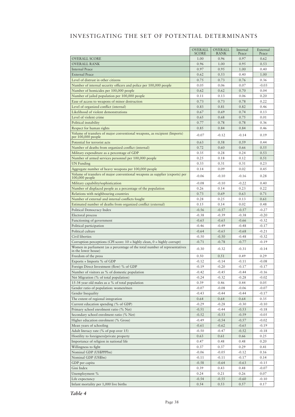# Investigating the set of potential determinants

|                                                                                                 | <b>OVERALL</b><br><b>SCORE</b> | OVERALL<br><b>RANK</b> | Internal<br>Peace  | External<br>Peace  |
|-------------------------------------------------------------------------------------------------|--------------------------------|------------------------|--------------------|--------------------|
| <b>OVERALL SCORE</b>                                                                            | 1.00                           | 0.96                   | 0.97               | 0.62               |
| <b>OVERALL RANK</b>                                                                             | 0.96                           | 1.00                   | 0.95               | 0.53               |
| <b>Internal Peace</b>                                                                           | 0.97                           | 0.95                   | 1.00               | 0.40               |
| <b>External Peace</b>                                                                           | 0.62                           | 0.53                   | 0.40               | 1.00               |
| Level of distrust in other citizens                                                             | 0.75                           | 0.73                   | 0.76               | 0.36               |
| Number of internal security officers and police per 100,000 people                              | 0.05                           | 0.06                   | 0.07               | $-0.03$            |
| Number of homicides per 100,000 people                                                          | 0.62                           | 0.62                   | 0.70               | 0.04               |
| Number of jailed population per 100,000 people                                                  | 0.11                           | 0.13                   | 0.06               | 0.20               |
| Ease of access to weapons of minor destruction                                                  | 0.73                           | 0.73                   | 0.78               | 0.22               |
| Level of organized conflict (internal)                                                          | 0.83                           | 0.81                   | 0.82               | 0.46               |
| Likelihood of violent demonstrations                                                            | 0.67                           | 0.69                   | 0.74               | 0.13               |
| Level of violent crime                                                                          | 0.65                           | 0.68                   | 0.75               | 0.01               |
| Political instability                                                                           | 0.77                           | 0.78                   | 0.78               | 0.36               |
| Respect for human rights                                                                        | 0.85                           | 0.84                   | 0.84               | 0.46               |
| Volume of transfers of major conventional weapons, as recipient (Imports)<br>per 100,000 people | $-0.07$                        | $-0.12$                | $-0.14$            | 0.19               |
| Potential for terrorist acts                                                                    | 0.63                           | 0.58                   | 0.59               | 0.44               |
| Number of deaths from organized conflict (internal)                                             | 0.72                           | 0.60                   | 0.66               | 0.55               |
| Military expenditure as a percentage of GDP                                                     | 0.35                           | 0.28                   | 0.24               | 0.53               |
| Number of armed services personnel per 100,000 people                                           | 0.25                           | 0.18                   | 0.12               | 0.51               |
| <b>UN</b> Funding                                                                               | 0.33                           | 0.31                   | 0.31               | 0.23               |
| Aggregate number of heavy weapons per 100,000 people                                            | 0.14                           | 0.09                   | 0.02               | 0.45               |
| Volume of transfers of major conventional weapons as supplier (exports) per<br>100,000 people   | $-0.06$                        | $-0.10$                | $-0.16$            | 0.28               |
| Military capability/sophistication                                                              | $-0.08$                        | $-0.10$                | $-0.22$            | 0.40               |
| Number of displaced people as a percentage of the population                                    | 0.26                           | 0.14                   | 0.23               | 0.22               |
| Relations with neighbouring countries                                                           | 0.73                           | 0.69                   | 0.63               | 0.71               |
| Number of external and internal conflicts fought                                                | 0.28                           | 0.25                   | 0.13               | 0.61               |
| Estimated number of deaths from organized conflict (external)                                   | 0.15                           | 0.14                   | 0.02               | 0.48               |
| Political Democracy Index                                                                       | $-0.56$                        | $-0.57$                | $-0.57$            | $-0.27$            |
| Electoral process                                                                               | $-0.38$                        | $-0.39$                | $-0.38$            | $-0.20$            |
| Functioning of government                                                                       | $-0.65$                        | $-0.65$                | $-0.66$            | $-0.32$            |
| Political participation<br>Political culture                                                    | $-0.46$<br>$-0.64$             | $-0.49$<br>$-0.65$     | $-0.48$<br>$-0.68$ | $-0.17$<br>$-0.21$ |
| Civil liberties                                                                                 | $-0.50$                        | $-0.50$                | $-0.48$            | $-0.32$            |
| Corruption perceptions (CPI score: $10 =$ highly clean, $0 =$ highly corrupt)                   | $-0.71$                        | $-0.78$                | $-0.77$            | $-0.19$            |
| Women in parliament (as a percentage of the total number of representatives                     |                                |                        |                    |                    |
| in the lower house)                                                                             | $-0.30$                        | $-0.32$                | $-0.31$            | $-0.14$            |
| Freedom of the press<br>Exports + Imports % of GDP                                              | 0.50                           | 0.51                   | 0.49<br>$-0.11$    | 0.29               |
| Foreign Direct Investment (flow) % of GDP                                                       | $-0.12$<br>$-0.19$             | $-0.14$<br>$-0.20$     | $-0.17$            | $-0.08$<br>$-0.17$ |
| Number of visitors as % of domestic population                                                  | $-0.42$                        | $-0.45$                | $-0.44$            | $-0.16$            |
| Net Migration (% of total population)                                                           | $-0.24$                        | $-0.32$                | $-0.28$            | $-0.02$            |
| 15-34 year old males as a % of total population                                                 | 0.39                           | 0.46                   | 0.44               | 0.05               |
| Gender ratio of population: women/men                                                           | $-0.07$                        | $-0.08$                | $-0.06$            | $-0.07$            |
| Gender Inequality                                                                               | $-0.43$                        | $-0.44$                | $-0.44$            | $-0.17$            |
| The extent of regional integration                                                              | 0.64                           | 0.64                   | 0.64               | 0.35               |
| Current education spending (% of GDP)                                                           | $-0.29$                        | $-0.28$                | $-0.30$            | $-0.10$            |
| Primary school enrolment ratio (% Net)                                                          | $-0.51$                        | $-0.44$                | $-0.53$            | $-0.18$            |
| Secondary school enrolment ratio (% Net)                                                        | $-0.52$                        | $-0.53$                | $-0.59$            | $-0.05$            |
| Higher education enrolment (% Gross)                                                            | $-0.49$                        | $-0.54$                | $-0.57$            | $-0.02$            |
| Mean years of schooling                                                                         | $-0.61$                        | $-0.62$                | $-0.65$            | $-0.19$            |
| Adult literacy rate (% of pop over 15)                                                          | $-0.50$                        | $-0.47$                | $-0.52$            | $-0.18$            |
| Hostility to foreigners/private property                                                        | 0.63                           | 0.61                   | 0.66               | 0.25               |
| Importance of religion in national life                                                         | 0.47                           | 0.48                   | 0.48               | 0.20               |
| Willingness to fight                                                                            | 0.37                           | 0.37                   | 0.29               | 0.41               |
| Nominal GDP (US\$PPPbn)                                                                         | $-0.06$                        | $-0.05$                | $-0.12$            | 0.16               |
| Nominal GDP (US\$bn)                                                                            | $-0.11$                        | $-0.11$                | $-0.17$            | 0.14               |
| GDP per capita                                                                                  | $-0.58$                        | $-0.64$                | $-0.63$            | $-0.15$            |
| Gini Index                                                                                      | 0.39                           | 0.43                   | 0.48               | $-0.07$            |
| Unemployment %                                                                                  | 0.24                           | 0.21                   | 0.26               | 0.07               |
| Life expectancy                                                                                 | $-0.54$                        | $-0.55$                | $-0.60$            | $-0.10$            |
| Infant mortality per 1,000 live births                                                          | 0.54                           | 0.53                   | 0.57               | 0.17               |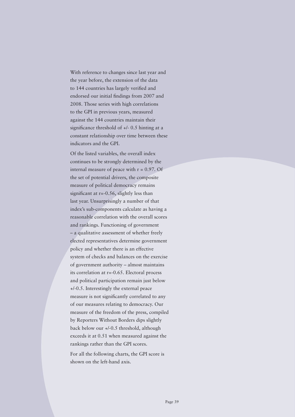With reference to changes since last year and the year before, the extension of the data to 144 countries has largely verified and endorsed our initial findings from 2007 and 2008. Those series with high correlations to the GPI in previous years, measured against the 144 countries maintain their significance threshold of +/- 0.5 hinting at a constant relationship over time between these indicators and the GPI.

Of the listed variables, the overall index continues to be strongly determined by the internal measure of peace with r = 0.97. Of the set of potential drivers, the composite measure of political democracy remains significant at r=-0.56, slightly less than last year. Unsurprisingly a number of that index's sub-components calculate as having a reasonable correlation with the overall scores and rankings. Functioning of government – a qualitative assessment of whether freely elected representatives determine government policy and whether there is an effective system of checks and balances on the exercise of government authority – almost maintains its correlation at r=-0.65. Electoral process and political participation remain just below +/-0.5. Interestingly the external peace measure is not significantly correlated to any of our measures relating to democracy. Our measure of the freedom of the press, compiled by Reporters Without Borders dips slightly back below our +/-0.5 threshold, although exceeds it at 0.51 when measured against the rankings rather than the GPI scores.

For all the following charts, the GPI score is shown on the left-hand axis.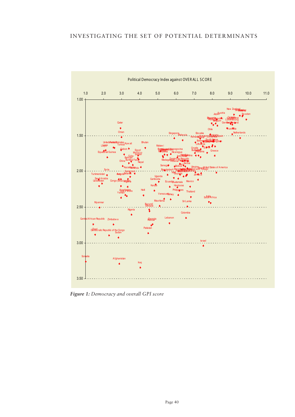# Investigating the set of potential determinants



*Figure 1: Democracy and overall GPI score*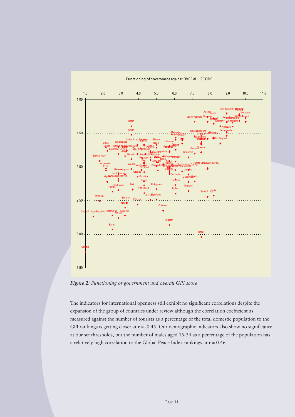

*Figure 2: Functioning of government and overall GPI score*

The indicators for international openness still exhibit no significant correlations despite the expansion of the group of countries under review although the correlation coefficient as measured against the number of tourists as a percentage of the total domestic population to the GPI rankings is getting closer at r = -0.45. Our demographic indicators also show no significance at our set thresholds, but the number of males aged 15-34 as a percentage of the population has a relatively high correlation to the Global Peace Index rankings at r = 0.46.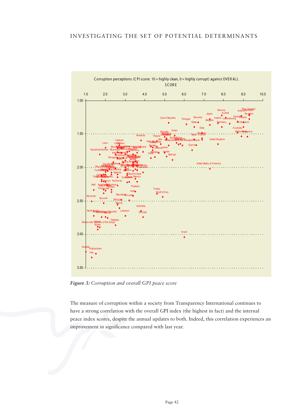# Investigating the set of potential determinants



*Figure 3: Corruption and overall GPI peace score*

The measure of corruption within a society from Transparency International continues to have a strong correlation with the overall GPI index (the highest in fact) and the internal peace index scores, despite the annual updates to both. Indeed, this correlation experiences an improvement in significance compared with last year.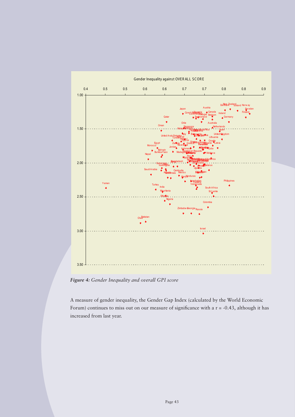

*Figure 4: Gender Inequality and overall GPI score*

A measure of gender inequality, the Gender Gap Index (calculated by the World Economic Forum) continues to miss out on our measure of significance with a r = -0.43, although it has increased from last year.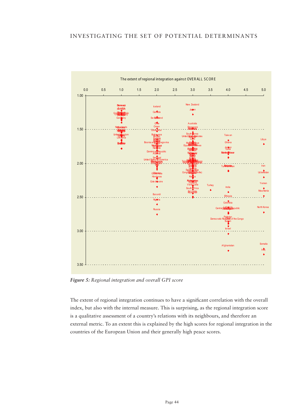# Investigating the set of potential determinants



*Figure 5: Regional integration and overall GPI score*

The extent of regional integration continues to have a significant correlation with the overall index, but also with the internal measure. This is surprising, as the regional integration score is a qualitative assessment of a country's relations with its neighbours, and therefore an external metric. To an extent this is explained by the high scores for regional integration in the countries of the European Union and their generally high peace scores.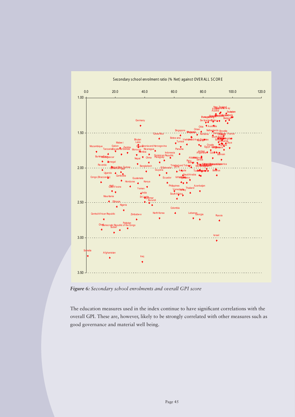

*Figure 6: Secondary school enrolments and overall GPI score*

The education measures used in the index continue to have significant correlations with the overall GPI. These are, however, likely to be strongly correlated with other measures such as good governance and material well being.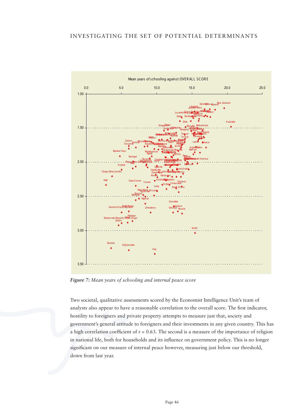

*Figure 7: Mean years of schooling and internal peace score*

Two societal, qualitative assessments scored by the Economist Intelligence Unit's team of analysts also appear to have a reasonable correlation to the overall score. The first indicator, hostility to foreigners and private property attempts to measure just that, society and government's general attitude to foreigners and their investments in any given country. This has a high correlation coefficient of  $r = 0.63$ . The second is a measure of the importance of religion in national life, both for households and its influence on government policy. This is no longer significant on our measure of internal peace however, measuring just below our threshold, down from last year.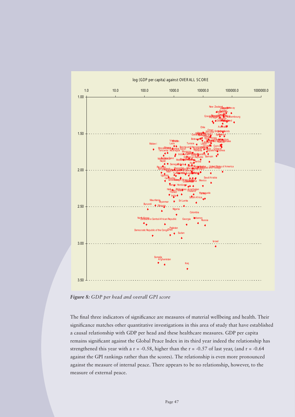

*Figure 8: GDP per head and overall GPI score*

The final three indicators of significance are measures of material wellbeing and health. Their significance matches other quantitative investigations in this area of study that have established a causal relationship with GDP per head and these healthcare measures. GDP per capita remains significant against the Global Peace Index in its third year indeed the relationship has strengthened this year with a  $r = -0.58$ , higher than the  $r = -0.57$  of last year, (and  $r = -0.64$ against the GPI rankings rather than the scores). The relationship is even more pronounced against the measure of internal peace. There appears to be no relationship, however, to the measure of external peace.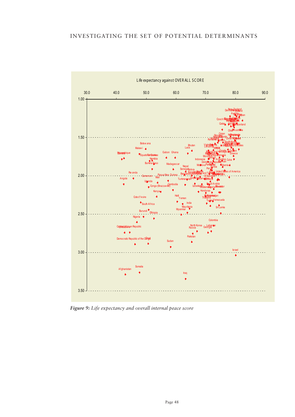

*Figure 9: Life expectancy and overall internal peace score*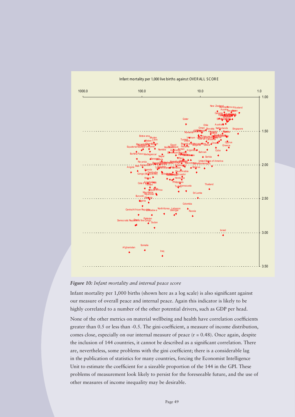

#### *Figure 10: Infant mortality and internal peace score*

Infant mortality per 1,000 births (shown here as a log scale) is also significant against our measure of overall peace and internal peace. Again this indicator is likely to be highly correlated to a number of the other potential drivers, such as GDP per head.

None of the other metrics on material wellbeing and health have correlation coefficients greater than 0.5 or less than -0.5. The gini-coefficient, a measure of income distribution, comes close, especially on our internal measure of peace  $(r = 0.48)$ . Once again, despite the inclusion of 144 countries, it cannot be described as a significant correlation. There are, nevertheless, some problems with the gini coefficient; there is a considerable lag in the publication of statistics for many countries, forcing the Economist Intelligence Unit to estimate the coefficient for a sizeable proportion of the 144 in the GPI. These problems of measurement look likely to persist for the foreseeable future, and the use of other measures of income inequality may be desirable.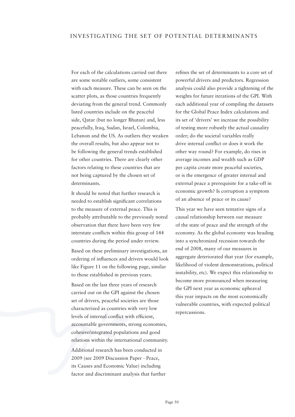For each of the calculations carried out there are some notable outliers, some consistent with each measure. These can be seen on the scatter plots, as those countries frequently deviating from the general trend. Commonly listed countries include on the peaceful side, Qatar (but no longer Bhutan) and, less peacefully, Iraq, Sudan, Israel, Colombia, Lebanon and the US. As outliers they weaken the overall results, but also appear not to be following the general trends established for other countries. There are clearly other factors relating to these countries that are not being captured by the chosen set of determinants.

It should be noted that further research is needed to establish significant correlations to the measure of external peace. This is probably attributable to the previously noted observation that there have been very few interstate conflicts within this group of 144 countries during the period under review.

Based on these preliminary investigations, an ordering of influences and drivers would look like Figure 11 on the following page, similar to those established in previous years.

Based on the last three years of research carried out on the GPI against the chosen set of drivers, peaceful societies are those characterized as countries with very low levels of internal conflict with efficient, accountable governments, strong economies, cohesive/integrated populations and good relations within the international community.

Additional research has been conducted in 2009 (see 2009 Discussion Paper - Peace, its Causes and Economic Value) including factor and discriminant analysis that further refines the set of determinants to a core set of powerful drivers and predictors. Regression analysis could also provide a tightening of the weights for future iterations of the GPI. With each additional year of compiling the datasets for the Global Peace Index calculations and its set of 'drivers' we increase the possibility of testing more robustly the actual causality order; do the societal variables really drive internal conflict or does it work the other way round? For example, do rises in average incomes and wealth such as GDP per capita create more peaceful societies, or is the emergence of greater internal and external peace a prerequisite for a take-off in economic growth? Is corruption a symptom of an absence of peace or its cause?

This year we have seen tentative signs of a causal relationship between our measure of the state of peace and the strength of the economy. As the global economy was heading into a synchronized recession towards the end of 2008, many of our measures in aggregate deteriorated that year (for example, likelihood of violent demonstrations, political instability, etc). We expect this relationship to become more pronounced when measuring the GPI next year as economic upheaval this year impacts on the most economically vulnerable countries, with expected political repercussions.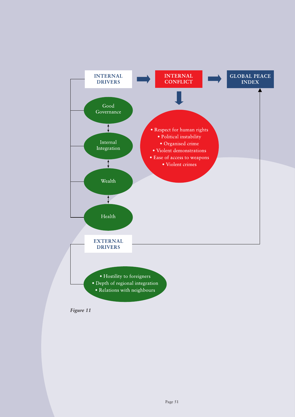

*Figure 11*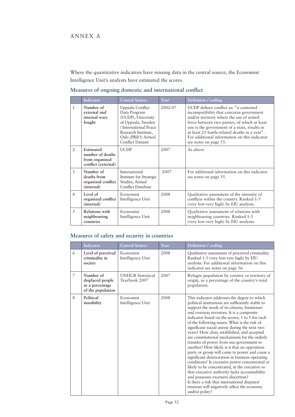# Annex A

Where the quantitative indicators have missing data in the central source, the Economist Intelligence Unit's analysts have estimated the scores.

**Measures of ongoing domestic and international conflict**

|                         | Indicator                                                              | <b>Central Source</b>                                                                                                                                                        | Year    | Definition / coding                                                                                                                                                                                                                                                                                                                                     |
|-------------------------|------------------------------------------------------------------------|------------------------------------------------------------------------------------------------------------------------------------------------------------------------------|---------|---------------------------------------------------------------------------------------------------------------------------------------------------------------------------------------------------------------------------------------------------------------------------------------------------------------------------------------------------------|
| $\mathbf{1}$            | Number of<br>external and<br>internal wars<br>fought                   | Uppsala Conflict<br>Data Program<br>(UCDP), University<br>of Uppsala, Sweden<br>/ International Peace<br>Research Institute,<br>Oslo (PRIO) Armed<br><b>Conflict Dataset</b> | 2002-07 | UCDP defines conflict as: "a contested<br>incompatibility that concerns government<br>and/or territory where the use of armed<br>force between two parties, of which at least<br>one is the government of a state, results in<br>at least 25 battle-related deaths in a year".<br>For additional information on this indicator<br>see notes on page 55. |
| $\overline{2}$          | Estimated<br>number of deaths<br>from organized<br>conflict (external) | <b>UCDP</b>                                                                                                                                                                  | 2007    | As above                                                                                                                                                                                                                                                                                                                                                |
| $\overline{\mathbf{3}}$ | Number of<br>deaths from<br>organized conflict<br>(internal)           | International<br>Institute for Strategic<br>Studies, Armed<br><b>Conflict Database</b>                                                                                       | 2007    | For additional information on this indicator<br>see notes on page 55.                                                                                                                                                                                                                                                                                   |
| $\overline{4}$          | Level of<br>organized conflict<br>(internal)                           | Economist<br>Intelligence Unit                                                                                                                                               | 2008    | Qualitative assessment of the intensity of<br>conflicts within the country. Ranked 1-5<br>(very low-very high) by EIU analysts.                                                                                                                                                                                                                         |
| 5                       | <b>Relations</b> with<br>neighbouring<br>countries                     | Economist<br>Intelligence Unit                                                                                                                                               | 2008    | Qualitative assessment of relations with<br>neighbouring countries. Ranked 1-5<br>(very low-very high) by EIU analysts.                                                                                                                                                                                                                                 |

# **Measures of safety and security in countries**

|   | Indicator                                                             | <b>Central Source</b>                     | Year | Definition / coding                                                                                                                                                                                                                                                                                                                                                                                                                                                                                                                                                                                                                                                                                                                                                                                                                                                                                                                                             |
|---|-----------------------------------------------------------------------|-------------------------------------------|------|-----------------------------------------------------------------------------------------------------------------------------------------------------------------------------------------------------------------------------------------------------------------------------------------------------------------------------------------------------------------------------------------------------------------------------------------------------------------------------------------------------------------------------------------------------------------------------------------------------------------------------------------------------------------------------------------------------------------------------------------------------------------------------------------------------------------------------------------------------------------------------------------------------------------------------------------------------------------|
| 6 | Level of perceived<br>criminality in<br>society                       | Economist<br>Intelligence Unit            | 2008 | Qualitative assessment of perceived criminality.<br>Ranked 1-5 (very low-very high) by EIU<br>analysts. For additional information on this<br>indicator see notes on page 56.                                                                                                                                                                                                                                                                                                                                                                                                                                                                                                                                                                                                                                                                                                                                                                                   |
| 7 | Number of<br>displaced people<br>as a percentage<br>of the population | <b>UNHCR</b> Statistical<br>Yearbook 2007 | 2007 | Refugee population by country or territory of<br>origin, as a percentage of the country's total<br>population.                                                                                                                                                                                                                                                                                                                                                                                                                                                                                                                                                                                                                                                                                                                                                                                                                                                  |
| 8 | Political<br>instability                                              | Economist<br>Intelligence Unit            | 2008 | This indicator addresses the degree to which<br>political institutions are sufficiently stable to<br>support the needs of its citizens, businesses<br>and overseas investors. It is a composite<br>indicator based on the scores, 1 to 5 for each<br>of the following issues: What is the risk of<br>significant social unrest during the next two<br>years? How clear, established, and accepted<br>are constitutional mechanisms for the orderly<br>transfer of power from one government to<br>another? How likely is it that an opposition<br>party or group will come to power and cause a<br>significant deterioration in business operating<br>conditions? Is excessive power concentrated or<br>likely to be concentrated, in the executive so<br>that executive authority lacks accountability<br>and possesses excessive discretion?<br>Is there a risk that international disputes/<br>tensions will negatively affect the economy<br>and/or polity? |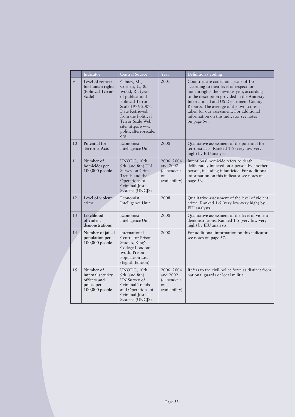|    | Indicator                                                                      | <b>Central Source</b>                                                                                                                                                                                                         | Year                                                                    | Definition / coding                                                                                                                                                                                                                                                                                                                                                      |
|----|--------------------------------------------------------------------------------|-------------------------------------------------------------------------------------------------------------------------------------------------------------------------------------------------------------------------------|-------------------------------------------------------------------------|--------------------------------------------------------------------------------------------------------------------------------------------------------------------------------------------------------------------------------------------------------------------------------------------------------------------------------------------------------------------------|
| 9  | Level of respect<br>for human rights<br>(Political Terror<br>Scale)            | Gibney, M.,<br>Cornett, L., &<br>Wood, R., (year<br>of publication)<br>Political Terror<br>Scale 1976-2007.<br>Date Retrieved,<br>from the Political<br>Terror Scale Web<br>site: http://www.<br>politicalterrorscale.<br>org | 2007                                                                    | Countries are coded on a scale of 1-5<br>according to their level of respect for<br>human rights the previous year, according<br>to the description provided in the Amnesty<br>International and US Department County<br>Reports. The average of the two scores is<br>taken for our assessment. For additional<br>information on this indicator see notes<br>on page 56. |
| 10 | Potential for<br><b>Terrorist Acts</b>                                         | Economist<br>Intelligence Unit                                                                                                                                                                                                | 2008                                                                    | Qualitative assessment of the potential for<br>terrorist acts. Ranked 1-5 (very low-very<br>high) by EIU analysts.                                                                                                                                                                                                                                                       |
| 11 | Number of<br>homicides per<br>100,000 people                                   | UNODC, 10th,<br>9th (and 8th) UN<br>Survey on Crime<br>Trends and the<br>Operations of<br>Criminal Justice<br>Systems (UNCJS)                                                                                                 | 2006, 2004<br>and 2002<br>(dependent<br>$_{\text{on}}$<br>availability) | Intentional homicide refers to death<br>deliberately inflicted on a person by another<br>person, including infanticide. For additional<br>information on this indicator see notes on<br>page 56.                                                                                                                                                                         |
| 12 | Level of violent<br>crime                                                      | Economist<br>Intelligence Unit                                                                                                                                                                                                | 2008                                                                    | Qualitative assessment of the level of violent<br>crime. Ranked 1-5 (very low-very high) by<br>EIU analysts.                                                                                                                                                                                                                                                             |
| 13 | Likelihood<br>of violent<br>demonstrations                                     | Economist<br>Intelligence Unit                                                                                                                                                                                                | 2008                                                                    | Qualitative assessment of the level of violent<br>demonstrations. Ranked 1-5 (very low-very<br>high) by EIU analysts.                                                                                                                                                                                                                                                    |
| 14 | Number of jailed<br>population per<br>100,000 people                           | International<br>Centre for Prison<br>Studies, King's<br>College London:<br>World Prison<br>Population List<br>(Eighth Edition)                                                                                               | 2008                                                                    | For additional information on this indicator<br>see notes on page 57.                                                                                                                                                                                                                                                                                                    |
| 15 | Number of<br>internal security<br>officers and<br>police per<br>100,000 people | UNODC, 10th,<br>9th (and 8th)<br>UN Survey of<br>Criminal Trends<br>and Operations of<br>Criminal Justice<br>Systems (UNCJS)                                                                                                  | 2006, 2004<br>and 2002<br>(dependent<br>$_{\text{on}}$<br>availability) | Refers to the civil police force as distinct from<br>national guards or local militia.                                                                                                                                                                                                                                                                                   |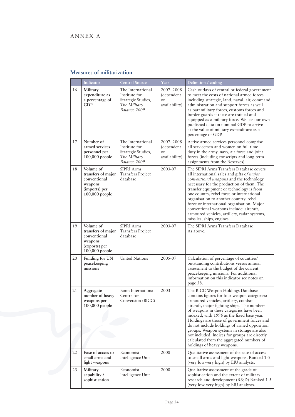# **Measures of militarization**

|  |    | Indicator                                                                                     | <b>Central Source</b>                                                                    | Year                                            | Definition / coding                                                                                                                                                                                                                                                                                                                                                                                                                                                                                                                        |
|--|----|-----------------------------------------------------------------------------------------------|------------------------------------------------------------------------------------------|-------------------------------------------------|--------------------------------------------------------------------------------------------------------------------------------------------------------------------------------------------------------------------------------------------------------------------------------------------------------------------------------------------------------------------------------------------------------------------------------------------------------------------------------------------------------------------------------------------|
|  | 16 | Military<br>expenditure as<br>a percentage of<br>GDP                                          | The International<br>Institute for<br>Strategic Studies,<br>The Military<br>Balance 2009 | 2007, 2008<br>(dependent<br>on<br>availability) | Cash outlays of central or federal government<br>to meet the costs of national armed forces -<br>including strategic, land, naval, air, command,<br>administration and support forces as well<br>as paramilitary forces, customs forces and<br>border guards if these are trained and<br>equipped as a military force. We use our own<br>published data on nominal GDP to arrive<br>at the value of military expenditure as a<br>percentage of GDP.                                                                                        |
|  | 17 | Number of<br>armed services<br>personnel per<br>100,000 people                                | The International<br>Institute for<br>Strategic Studies,<br>The Military<br>Balance 2009 | 2007, 2008<br>(dependent<br>on<br>availability) | Active armed services personnel comprise<br>all servicemen and women on full-time<br>duty in the army, navy, air force and joint<br>forces (including conscripts and long-term<br>assignments from the Reserves).                                                                                                                                                                                                                                                                                                                          |
|  | 18 | Volume of<br>transfers of major<br>conventional<br>weapons<br>(imports) per<br>100,000 people | <b>SIPRI Arms</b><br><b>Transfers Project</b><br>database                                | 2003-07                                         | The SIPRI Arms Transfers Database covers<br>all international sales and gifts of major<br>conventional weapons and the technology<br>necessary for the production of them. The<br>transfer equipment or technology is from<br>one country, rebel force or international<br>organisation to another country, rebel<br>force or international organisation. Major<br>conventional weapons include: aircraft,<br>armoured vehicles, artillery, radar systems,<br>missiles, ships, engines.                                                    |
|  | 19 | Volume of<br>transfers of major<br>conventional<br>weapons<br>(exports) per<br>100,000 people | <b>SIPRI Arms</b><br>Transfers Project<br>database                                       | 2003-07                                         | The SIPRI Arms Transfers Database<br>As above.                                                                                                                                                                                                                                                                                                                                                                                                                                                                                             |
|  | 20 | Funding for UN<br>peacekeeping<br>missions                                                    | <b>United Nations</b>                                                                    | 2005-07                                         | Calculation of percentage of countries'<br>outstanding contributions versus annual<br>assessment to the budget of the current<br>peacekeeping missions. For additional<br>information on this indicator see notes on<br>page 58.                                                                                                                                                                                                                                                                                                           |
|  | 21 | Aggregate<br>number of heavy<br>weapons per<br>100,000 people                                 | Bonn International<br>Centre for<br>Conversion (BICC)                                    | 2003                                            | The BICC Weapon Holdings Database<br>contains figures for four weapon categories:<br>armoured vehicles, artillery, combat<br>aircraft, major fighting ships. The numbers<br>of weapons in these categories have been<br>indexed, with 1996 as the fixed base year.<br>Holdings are those of government forces and<br>do not include holdings of armed opposition<br>groups. Weapon systems in storage are also<br>not included. Indices for groups are directly<br>calculated from the aggregated numbers of<br>holdings of heavy weapons. |
|  | 22 | Ease of access to<br>small arms and<br>light weapons                                          | Economist<br>Intelligence Unit                                                           | 2008                                            | Qualitative assessment of the ease of access<br>to small arms and light weapons. Ranked 1-5<br>(very low-very high) by EIU analysts.                                                                                                                                                                                                                                                                                                                                                                                                       |
|  | 23 | Military<br>capability /<br>sophistication                                                    | Economist<br>Intelligence Unit                                                           | 2008                                            | Qualitative assessment of the grade of<br>sophistication and the extent of military<br>research and development (R&D) Ranked 1-5<br>(very low-very high) by EIU analysts.                                                                                                                                                                                                                                                                                                                                                                  |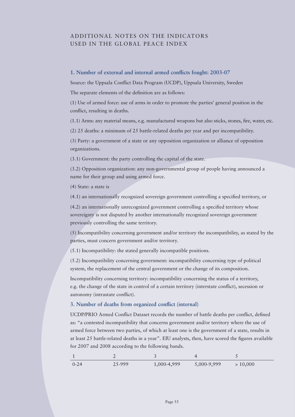# Additional notes on the indicators used in the Global Peace Index

### **1. Number of external and internal armed conflicts fought: 2003-07**

Source: the Uppsala Conflict Data Program (UCDP), Uppsala University, Sweden

The separate elements of the definition are as follows:

(1) Use of armed force: use of arms in order to promote the parties' general position in the conflict, resulting in deaths.

(1.1) Arms: any material means, e.g. manufactured weapons but also sticks, stones, fire, water, etc.

(2) 25 deaths: a minimum of 25 battle-related deaths per year and per incompatibility.

(3) Party: a government of a state or any opposition organization or alliance of opposition organizations.

(3.1) Government: the party controlling the capital of the state.

(3.2) Opposition organization: any non-governmental group of people having announced a name for their group and using armed force.

(4) State: a state is

(4.1) an internationally recognized sovereign government controlling a specified territory, or

(4.2) an internationally unrecognized government controlling a specified territory whose sovereignty is not disputed by another internationally recognized sovereign government previously controlling the same territory.

(5) Incompatibility concerning government and/or territory the incompatibility, as stated by the parties, must concern government and/or territory.

(5.1) Incompatibility: the stated generally incompatible positions.

(5.2) Incompatibility concerning government: incompatibility concerning type of political system, the replacement of the central government or the change of its composition.

Incompatibility concerning territory: incompatibility concerning the status of a territory, e.g. the change of the state in control of a certain territory (interstate conflict), secession or autonomy (intrastate conflict).

#### **3. Number of deaths from organized conflict (internal)**

UCDP/PRIO Armed Conflict Dataset records the number of battle deaths per conflict, defined as: "a contested incompatibility that concerns government and/or territory where the use of armed force between two parties, of which at least one is the government of a state, results in at least 25 battle-related deaths in a year". EIU analysts, then, have scored the figures available for 2007 and 2008 according to the following bands.

| $0 - 24$ | 25-999 | 1,000-4,999 | 5,000-9,999 | > 10,000 |
|----------|--------|-------------|-------------|----------|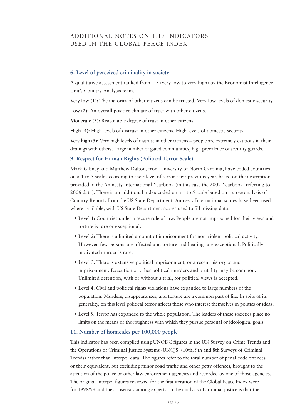# Additional notes on the indicators used in the Global Peace Index

### **6. Level of perceived criminality in society**

A qualitative assessment ranked from 1-5 (very low to very high) by the Economist Intelligence Unit's Country Analysis team.

**Very low (1):** The majority of other citizens can be trusted. Very low levels of domestic security.

**Low (2):** An overall positive climate of trust with other citizens.

**Moderate (3):** Reasonable degree of trust in other citizens.

**High (4):** High levels of distrust in other citizens. High levels of domestic security.

**Very high (5):** Very high levels of distrust in other citizens – people are extremely cautious in their dealings with others. Large number of gated communities, high prevalence of security guards.

#### **9. Respect for Human Rights (Political Terror Scale)**

Mark Gibney and Matthew Dalton, from University of North Carolina, have coded countries on a 1 to 5 scale according to their level of terror their previous year, based on the description provided in the Amnesty International Yearbook (in this case the 2007 Yearbook, referring to 2006 data). There is an additional index coded on a 1 to 5 scale based on a close analysis of Country Reports from the US State Department. Amnesty International scores have been used where available, with US State Department scores used to fill missing data.

- • Level 1: Countries under a secure rule of law. People are not imprisoned for their views and torture is rare or exceptional.
- • Level 2: There is a limited amount of imprisonment for non-violent political activity. However, few persons are affected and torture and beatings are exceptional. Politicallymotivated murder is rare.
- Level 3: There is extensive political imprisonment, or a recent history of such imprisonment. Execution or other political murders and brutality may be common. Unlimited detention, with or without a trial, for political views is accepted.
- Level 4: Civil and political rights violations have expanded to large numbers of the population. Murders, disappearances, and torture are a common part of life. In spite of its generality, on this level political terror affects those who interest themselves in politics or ideas.
- Level 5: Terror has expanded to the whole population. The leaders of these societies place no limits on the means or thoroughness with which they pursue personal or ideological goals.

### **11. Number of homicides per 100,000 people**

This indicator has been compiled using UNODC figures in the UN Survey on Crime Trends and the Operations of Criminal Justice Systems (UNCJS) (10th, 9th and 8th Surveys of Criminal Trends) rather than Interpol data. The figures refer to the total number of penal code offences or their equivalent, but excluding minor road traffic and other petty offences, brought to the attention of the police or other law enforcement agencies and recorded by one of those agencies. The original Interpol figures reviewed for the first iteration of the Global Peace Index were for 1998/99 and the consensus among experts on the analysis of criminal justice is that the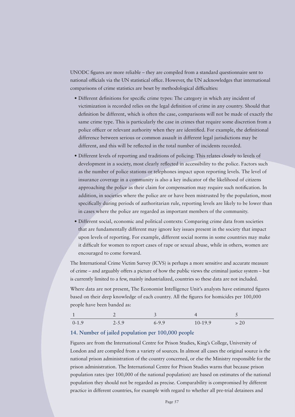UNODC figures are more reliable – they are compiled from a standard questionnaire sent to national officials via the UN statistical office. However, the UN acknowledges that international comparisons of crime statistics are beset by methodological difficulties:

- Different definitions for specific crime types: The category in which any incident of victimization is recorded relies on the legal definition of crime in any country. Should that definition be different, which is often the case, comparisons will not be made of exactly the same crime type. This is particularly the case in crimes that require some discretion from a police officer or relevant authority when they are identified. For example, the definitional difference between serious or common assault in different legal jurisdictions may be different, and this will be reflected in the total number of incidents recorded.
- • Different levels of reporting and traditions of policing: This relates closely to levels of development in a society, most clearly reflected in accessibility to the police. Factors such as the number of police stations or telephones impact upon reporting levels. The level of insurance coverage in a community is also a key indicator of the likelihood of citizens approaching the police as their claim for compensation may require such notification. In addition, in societies where the police are or have been mistrusted by the population, most specifically during periods of authoritarian rule, reporting levels are likely to be lower than in cases where the police are regarded as important members of the community.
- • Different social, economic and political contexts: Comparing crime data from societies that are fundamentally different may ignore key issues present in the society that impact upon levels of reporting. For example, different social norms in some countries may make it difficult for women to report cases of rape or sexual abuse, while in others, women are encouraged to come forward.

The International Crime Victim Survey (ICVS) is perhaps a more sensitive and accurate measure of crime – and arguably offers a picture of how the public views the criminal justice system – but is currently limited to a few, mainly industrialized, countries so these data are not included.

Where data are not present, The Economist Intelligence Unit's analysts have estimated figures based on their deep knowledge of each country. All the figures for homicides per 100,000 people have been banded as:

| $() - 1$ | 2-5.9 | $6 - 9$ | $10 - 199$<br>⊥ ∪<br>$\lambda$ | ZU |
|----------|-------|---------|--------------------------------|----|

### **14. Number of jailed population per 100,000 people**

Figures are from the International Centre for Prison Studies, King's College, University of London and are compiled from a variety of sources. In almost all cases the original source is the national prison administration of the country concerned, or else the Ministry responsible for the prison administration. The International Centre for Prison Studies warns that because prison population rates (per 100,000 of the national population) are based on estimates of the national population they should not be regarded as precise. Comparability is compromised by different practice in different countries, for example with regard to whether all pre-trial detainees and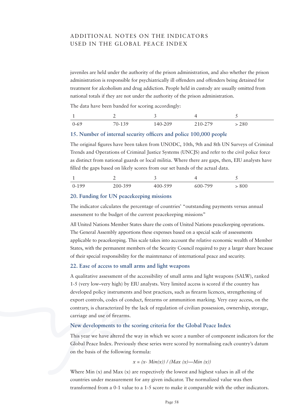# Additional notes on the indicators used in the Global Peace Index

juveniles are held under the authority of the prison administration, and also whether the prison administration is responsible for psychiatrically ill offenders and offenders being detained for treatment for alcoholism and drug addiction. People held in custody are usually omitted from national totals if they are not under the authority of the prison administration.

The data have been banded for scoring accordingly:

| - |                 |        |  |
|---|-----------------|--------|--|
|   | 70 <sub>1</sub> | 10.279 |  |

#### **15. Number of internal security officers and police 100,000 people**

The original figures have been taken from UNODC, 10th, 9th and 8th UN Surveys of Criminal Trends and Operations of Criminal Justice Systems (UNCJS) and refer to the civil police force as distinct from national guards or local militia. Where there are gaps, then, EIU analysts have filled the gaps based on likely scores from our set bands of the actual data.

| -        |     |     |     |
|----------|-----|-----|-----|
| $\Omega$ | 500 | 'QQ | 300 |

#### **20. Funding for UN peacekeeping missions**

The indicator calculates the percentage of countries' "outstanding payments versus annual assessment to the budget of the current peacekeeping missions"

All United Nations Member States share the costs of United Nations peacekeeping operations. The General Assembly apportions these expenses based on a special scale of assessments applicable to peacekeeping. This scale takes into account the relative economic wealth of Member States, with the permanent members of the Security Council required to pay a larger share because of their special responsibility for the maintenance of international peace and security.

#### **22. Ease of access to small arms and light weapons**

A qualitative assessment of the accessibility of small arms and light weapons (SALW), ranked 1-5 (very low–very high) by EIU analysts. Very limited access is scored if the country has developed policy instruments and best practices, such as firearm licences, strengthening of export controls, codes of conduct, firearms or ammunition marking. Very easy access, on the contrary, is characterized by the lack of regulation of civilian possession, ownership, storage, carriage and use of firearms.

#### **New developments to the scoring criteria for the Global Peace Index**

This year we have altered the way in which we score a number of component indicators for the Global Peace Index. Previously these series were scored by normalising each country's datum on the basis of the following formula:

$$
x = (x - Min(x)) / (Max(x) - Min(x))
$$

Where Min  $(x)$  and Max  $(x)$  are respectively the lowest and highest values in all of the countries under measurement for any given indicator. The normalized value was then transformed from a 0-1 value to a 1-5 score to make it comparable with the other indicators.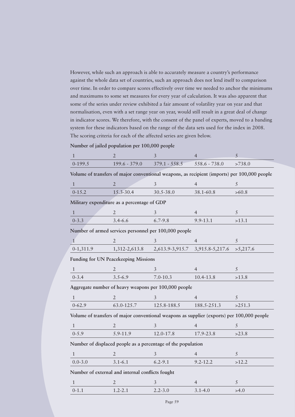However, while such an approach is able to accurately measure a country's performance against the whole data set of countries, such an approach does not lend itself to comparison over time. In order to compare scores effectively over time we needed to anchor the minimums and maximums to some set measures for every year of calculation. It was also apparent that some of the series under review exhibited a fair amount of volatility year on year and that normalisation, even with a set range year on year, would still result in a great deal of change in indicator scores. We therefore, with the consent of the panel of experts, moved to a banding system for these indicators based on the range of the data sets used for the index in 2008. The scoring criteria for each of the affected series are given below.

|  |  | Number of jailed population per 100,000 people |  |  |
|--|--|------------------------------------------------|--|--|
|--|--|------------------------------------------------|--|--|

| 1                                                            | $\overline{2}$                                                                               | 3               | $\overline{4}$  | 5          |  |
|--------------------------------------------------------------|----------------------------------------------------------------------------------------------|-----------------|-----------------|------------|--|
| $0-199.5$                                                    | 199.6 - 379.0                                                                                | $379.1 - 558.5$ | 558.6 - 738.0   | >738.0     |  |
|                                                              | Volume of transfers of major conventional weapons, as recipient (imports) per 100,000 people |                 |                 |            |  |
| $\mathbf{1}$                                                 | $\overline{2}$                                                                               | 3               | $\overline{4}$  | $\sqrt{5}$ |  |
| $0 - 15.2$                                                   | 15.3-30.4                                                                                    | 30.5-38.0       | 38.1-60.8       | >60.8      |  |
|                                                              | Military expenditure as a percentage of GDP                                                  |                 |                 |            |  |
| $1\,$                                                        |                                                                                              | 3               | 4               | 5          |  |
| $0 - 3.3$                                                    | $3.4 - 6.6$                                                                                  | $6.7 - 9.8$     | 9.9-13.1        | >13.1      |  |
|                                                              | Number of armed services personnel per 100,000 people                                        |                 |                 |            |  |
| $\mathbf{1}$                                                 | $\overline{2}$                                                                               | 3               | $\overline{4}$  | 5          |  |
| $0-1,311.9$                                                  | 1,312-2,613.8                                                                                | 2,613.9-3,915.7 | 3,915.8-5,217.6 | >5,217.6   |  |
|                                                              | <b>Funding for UN Peacekeeping Missions</b>                                                  |                 |                 |            |  |
| $\mathbf{1}$                                                 | $\overline{2}$                                                                               | 3               | $\overline{4}$  | 5          |  |
| $0 - 3.4$                                                    | $3.5 - 6.9$                                                                                  | $7.0 - 10.3$    | 10.4-13.8       | >13.8      |  |
|                                                              | Aggregate number of heavy weapons per 100,000 people                                         |                 |                 |            |  |
| $\mathbf{1}$                                                 | 2                                                                                            | 3               | 4               | 5          |  |
| $0 - 62.9$                                                   | 63.0-125.7                                                                                   | 125.8-188.5     | 188.5-251.3     | >251.3     |  |
|                                                              | Volume of transfers of major conventional weapons as supplier (exports) per 100,000 people   |                 |                 |            |  |
| $\mathbf{1}$                                                 | $\overline{2}$                                                                               | 3               | $\overline{4}$  | 5          |  |
| $0 - 5.9$                                                    | 5.9-11.9                                                                                     | 12.0-17.8       | 17.9-23.8       | >23.8      |  |
| Number of displaced people as a percentage of the population |                                                                                              |                 |                 |            |  |
| $\mathbf{1}$                                                 | $\overline{2}$                                                                               | 3               | $\overline{4}$  | 5          |  |
| $0.0 - 3.0$                                                  | $3.1 - 6.1$                                                                                  | $6.2 - 9.1$     | 9.2-12.2        | >12.2      |  |
|                                                              | Number of external and internal conflicts fought                                             |                 |                 |            |  |
| 1                                                            | $\overline{2}$                                                                               | $\mathfrak{Z}$  | $\overline{4}$  | 5          |  |
| $0 - 1.1$                                                    | $1.2 - 2.1$                                                                                  | $2.2 - 3.0$     | $3.1 - 4.0$     | >4.0       |  |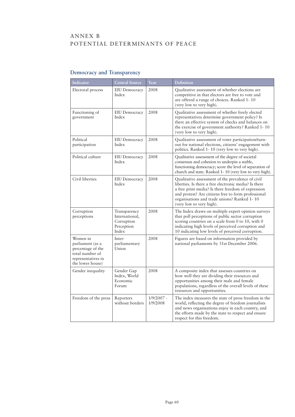# Annex B POTENTIAL DETERMINANTS OF PEACE

# **Democracy and Transparency**

| Indicator                                                                                                      | <b>Central Source</b>                                               | Year                     | Definition                                                                                                                                                                                                                                                                                         |
|----------------------------------------------------------------------------------------------------------------|---------------------------------------------------------------------|--------------------------|----------------------------------------------------------------------------------------------------------------------------------------------------------------------------------------------------------------------------------------------------------------------------------------------------|
| Electoral process                                                                                              | <b>EIU</b> Democracy<br>Index                                       | 2008                     | Qualitative assessment of whether elections are<br>competitive in that electors are free to vote and<br>are offered a range of choices. Ranked 1-10<br>(very low to very high).                                                                                                                    |
| Functioning of<br>government                                                                                   | <b>EIU</b> Democracy<br>Index                                       | 2008                     | Qualitative assessment of whether freely elected<br>representatives determine government policy? Is<br>there an effective system of checks and balances on<br>the exercise of government authority? Ranked 1-10<br>(very low to very high).                                                        |
| Political<br>participation                                                                                     | EIU Democracy<br>Index                                              | 2008                     | Qualitative assessment of voter participation/turn-<br>out for national elections, citizens' engagement with<br>politics. Ranked 1-10 (very low to very high).                                                                                                                                     |
| Political culture                                                                                              | EIU Democracy<br>Index                                              | 2008                     | Qualitative assessment of the degree of societal<br>consensus and cohesion to underpin a stable,<br>functioning democracy; score the level of separation of<br>church and state. Ranked 1-10 (very low to very high).                                                                              |
| Civil liberties                                                                                                | EIU Democracy<br>Index                                              | 2008                     | Qualitative assessment of the prevalence of civil<br>liberties. Is there a free electronic media? Is there<br>a free print media? Is there freedom of expression<br>and protest? Are citizens free to form professional<br>organisations and trade unions? Ranked 1-10<br>(very low to very high). |
| Corruption<br>perceptions                                                                                      | Transparency<br>International,<br>Corruption<br>Perception<br>Index | 2008                     | The Index draws on multiple expert opinion surveys<br>that poll perceptions of public sector corruption<br>scoring countries on a scale from 0 to 10, with 0<br>indicating high levels of perceived corruption and<br>10 indicating low levels of perceived corruption.                            |
| Women in<br>parliament (as a<br>percentage of the<br>total number of<br>representatives in<br>the lower house) | Inter-<br>parliamentary<br>Union                                    | 2008                     | Figures are based on information provided by<br>national parliaments by 31st December 2006.                                                                                                                                                                                                        |
| Gender inequality                                                                                              | Gender Gap<br>Index, World<br>Economic<br>Forum                     | 2008                     | A composite index that assesses countries on<br>how well they are dividing their resources and<br>opportunities among their male and female<br>populations, regardless of the overall levels of these<br>resources and opportunities.                                                              |
| Freedom of the press                                                                                           | Reporters<br>without borders                                        | $1/9/2007$ -<br>1/9/2008 | The index measures the state of press freedom in the<br>world, reflecting the degree of freedom journalists<br>and news organisations enjoy in each country, and<br>the efforts made by the state to respect and ensure<br>respect for this freedom.                                               |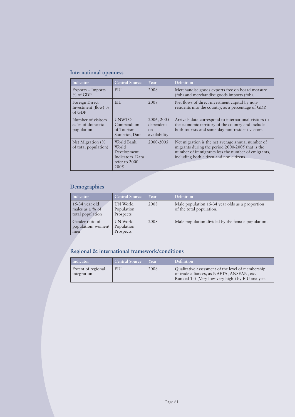# **International openness**

| Indicator                                            | <b>Central Source</b>                                                     | Year                                          | <b>Definition</b>                                                                                                                                                                                       |
|------------------------------------------------------|---------------------------------------------------------------------------|-----------------------------------------------|---------------------------------------------------------------------------------------------------------------------------------------------------------------------------------------------------------|
| Exports + Imports<br>$%$ of GDP                      | EIU                                                                       | 2008                                          | Merchandise goods exports free on board measure<br>(fob) and merchandise goods imports (fob).                                                                                                           |
| Foreign Direct<br>Investment (flow) %<br>of GDP      | EIU                                                                       | 2008                                          | Net flows of direct investment capital by non-<br>residents into the country, as a percentage of GDP.                                                                                                   |
| Number of visitors<br>as % of domestic<br>population | <b>UNWTO</b><br>Compendium<br>of Tourism<br>Statistics, Data              | 2006, 2005<br>dependent<br>on<br>availability | Arrivals data correspond to international visitors to<br>the economic territory of the country and include<br>both tourists and same-day non-resident visitors.                                         |
| Net Migration $\%$<br>of total population)           | World Bank,<br>World<br>Development<br>Indicators. Data<br>refer to 2000- | 2000-2005                                     | Net migration is the net average annual number of<br>migrants during the period 2000-2005 that is the<br>number of immigrants less the number of emigrants,<br>including both citizen and non citizens. |
|                                                      | 2005                                                                      |                                               |                                                                                                                                                                                                         |

# **Demographics**

| Indicator                                               | <b>Central Source</b>               | Year | <b>Definition</b>                                                           |
|---------------------------------------------------------|-------------------------------------|------|-----------------------------------------------------------------------------|
| 15-34 year old<br>males as a $%$ of<br>total population | UN World<br>Population<br>Prospects | 2008 | Male population 15-34 year olds as a proportion<br>of the total population. |
| Gender ratio of<br>population: women/<br>men            | UN World<br>Population<br>Prospects | 2008 | Male population divided by the female population.                           |

# **Regional & international framework/conditions**

| l Indicator                       | Central Source | $\mathbf{Y}_{\text{ear}}$ | <b>Definition</b>                                                                                                                                   |
|-----------------------------------|----------------|---------------------------|-----------------------------------------------------------------------------------------------------------------------------------------------------|
| Extent of regional<br>integration | EIU            | 2008                      | Qualitative assessment of the level of membership<br>of trade alliances, as NAFTA, ANSEAN, etc.<br>Ranked 1-5 (Very low-very high) by EIU analysts. |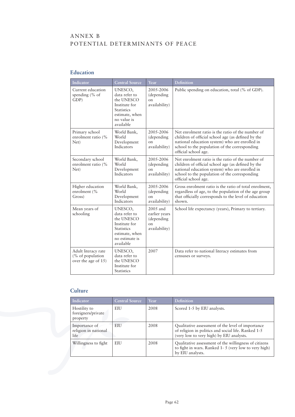# Annex B Potential determinants of peace

# **Education**

| Indicator                                                         | <b>Central Source</b>                                                                                                         | Year                                                                        | Definition                                                                                                                                                                                                                         |
|-------------------------------------------------------------------|-------------------------------------------------------------------------------------------------------------------------------|-----------------------------------------------------------------------------|------------------------------------------------------------------------------------------------------------------------------------------------------------------------------------------------------------------------------------|
| Current education<br>spending $\frac{6}{6}$ of<br>GDP             | UNESCO,<br>data refer to<br>the UNESCO<br>Institute for<br><b>Statistics</b><br>estimate, when<br>no value is<br>available    | 2005-2006<br>(depending)<br>$_{\rm on}$<br>availability)                    | Public spending on education, total (% of GDP).                                                                                                                                                                                    |
| Primary school<br>enrolment ratio (%<br>Net)                      | World Bank,<br>World<br>Development<br>Indicators                                                                             | 2005-2006<br>(depending)<br>$_{\rm on}$<br>availability)                    | Net enrolment ratio is the ratio of the number of<br>children of official school age (as defined by the<br>national education system) who are enrolled in<br>school to the population of the corresponding<br>official school age. |
| Secondary school<br>enrolment ratio (%<br>Net)                    | World Bank,<br>World<br>Development<br>Indicators                                                                             | 2005-2006<br>(depending<br>on<br>availability)                              | Net enrolment ratio is the ratio of the number of<br>children of official school age (as defined by the<br>national education system) who are enrolled in<br>school to the population of the corresponding<br>official school age. |
| Higher education<br>enrolment (%<br>Gross)                        | World Bank,<br>World<br>Development<br>Indicators                                                                             | 2005-2006<br>(depending<br>on<br>availability)                              | Gross enrolment ratio is the ratio of total enrolment,<br>regardless of age, to the population of the age group<br>that officially corresponds to the level of education<br>shown.                                                 |
| Mean years of<br>schooling                                        | UNESCO,<br>data refer to<br>the UNESCO<br>Institute for<br><b>Statistics</b><br>estimate, when<br>no estimate is<br>available | 2005 and<br>earlier years<br>(depending)<br>$_{\text{on}}$<br>availability) | School life expectancy (years), Primary to tertiary.                                                                                                                                                                               |
| Adult literacy rate<br>(% of population<br>over the age of $15$ ) | UNESCO,<br>data refer to<br>the UNESCO<br>Institute for<br>Statistics                                                         | 2007                                                                        | Data refer to national literacy estimates from<br>censuses or surveys.                                                                                                                                                             |

# **Culture**

| Indicator                                      | <b>Central Source</b> | Year | <b>Definition</b>                                                                                                                                    |
|------------------------------------------------|-----------------------|------|------------------------------------------------------------------------------------------------------------------------------------------------------|
| Hostility to<br>foreigners/private<br>property | EIU                   | 2008 | Scored 1-5 by EIU analysts.                                                                                                                          |
| Importance of<br>religion in national<br>life  | <b>EIU</b>            | 2008 | Qualitative assessment of the level of importance<br>of religion in politics and social life. Ranked 1-5<br>(very low to very high) by EIU analysts. |
| Willingness to fight                           | EIU                   | 2008 | Qualitative assessment of the willingness of citizens<br>to fight in wars. Ranked 1- 5 (very low to very high)<br>by EIU analysts.                   |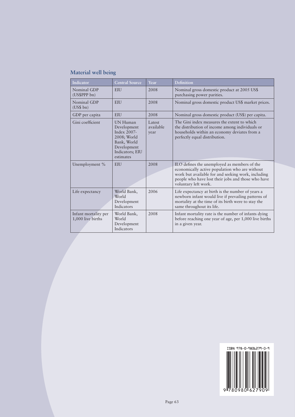# **Material well being**

| Indicator                                 | <b>Central Source</b>                                                                                                      | Year                        | Definition                                                                                                                                                                                                                         |
|-------------------------------------------|----------------------------------------------------------------------------------------------------------------------------|-----------------------------|------------------------------------------------------------------------------------------------------------------------------------------------------------------------------------------------------------------------------------|
| Nominal GDP<br>(USSPPP bn)                | EIU                                                                                                                        | 2008                        | Nominal gross domestic product at 2005 US\$<br>purchasing power parities.                                                                                                                                                          |
| Nominal GDP<br>(US\$bn)                   | EIU                                                                                                                        | 2008                        | Nominal gross domestic product US\$ market prices.                                                                                                                                                                                 |
| GDP per capita                            | EIU                                                                                                                        | 2008                        | Nominal gross domestic product (US\$) per capita.                                                                                                                                                                                  |
| Gini coefficient                          | <b>UN Human</b><br>Development<br>Index 2007-<br>2008; World<br>Bank, World<br>Development<br>Indicators; EIU<br>estimates | Latest<br>available<br>year | The Gini index measures the extent to which<br>the distribution of income among individuals or<br>households within an economy deviates from a<br>perfectly equal distribution.                                                    |
| Unemployment %                            | EIU                                                                                                                        | 2008                        | ILO defines the unemployed as members of the<br>economically active population who are without<br>work but available for and seeking work, including<br>people who have lost their jobs and those who have<br>voluntary left work. |
| Life expectancy                           | World Bank,<br>World<br>Development<br>Indicators                                                                          | 2006                        | Life expectancy at birth is the number of years a<br>newborn infant would live if prevailing patterns of<br>mortality at the time of its birth were to stay the<br>same throughout its life.                                       |
| Infant mortality per<br>1,000 live births | World Bank,<br>World<br>Development<br>Indicators                                                                          | 2008                        | Infant mortality rate is the number of infants dying<br>before reaching one year of age, per 1,000 live births<br>in a given year.                                                                                                 |